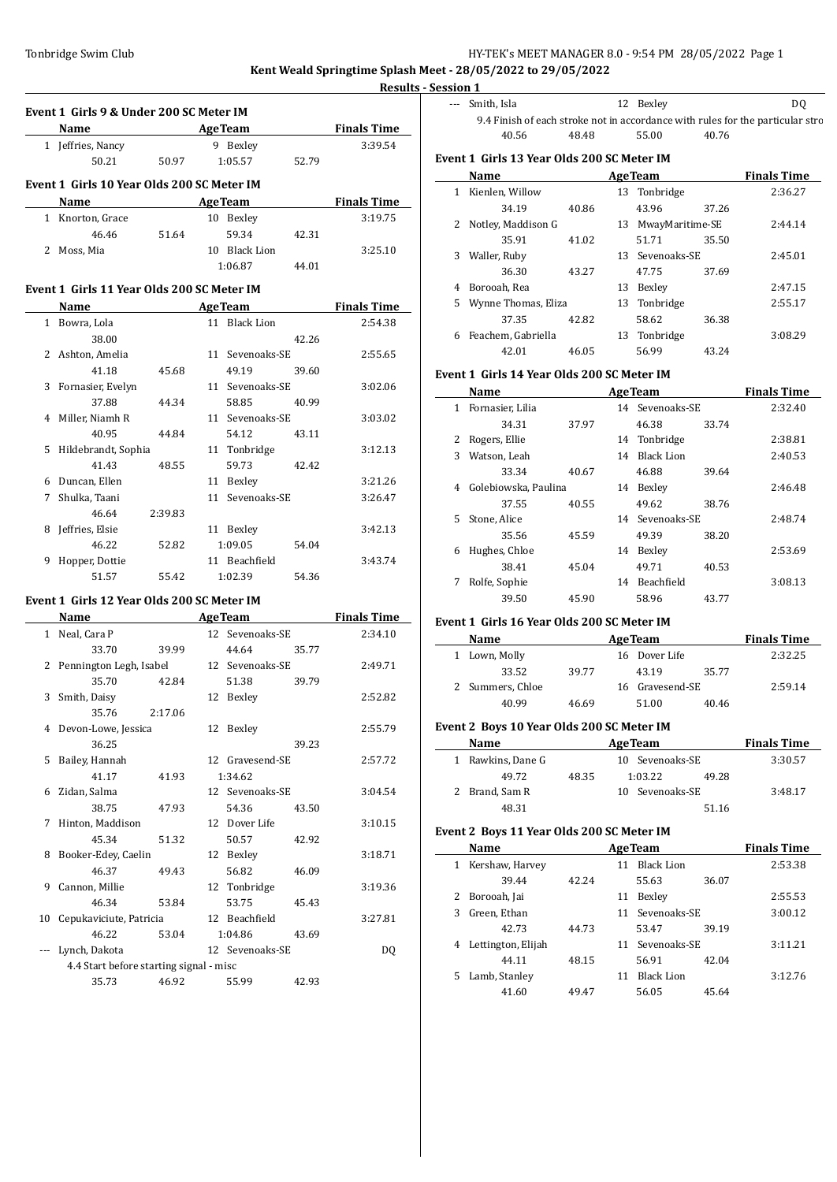**Kent Weald Springtime Splash Meet - 28/05/2022 to 29/05/2022**

 $\overline{a}$ 

**Results - Session 1**

|   | Event 1 Girls 9 & Under 200 SC Meter IM    |                           |    |                 |       |                    |
|---|--------------------------------------------|---------------------------|----|-----------------|-------|--------------------|
|   | Name                                       | <b>AgeTeam</b>            |    |                 |       | <b>Finals Time</b> |
|   | 1 Jeffries, Nancy                          |                           |    | 9 Bexley        |       | 3:39.54            |
|   | 50.21                                      | 50.97                     |    | 1:05.57         | 52.79 |                    |
|   | Event 1 Girls 10 Year Olds 200 SC Meter IM |                           |    |                 |       |                    |
|   | Name                                       | <b>Example 2 Age Team</b> |    |                 |       | <b>Finals Time</b> |
|   | 1 Knorton, Grace                           |                           |    | 10 Bexley       |       | 3:19.75            |
|   | 46.46                                      | 51.64                     |    | 59.34           | 42.31 |                    |
| 2 | Moss, Mia                                  |                           |    | 10 Black Lion   |       | 3:25.10            |
|   |                                            |                           |    | 1:06.87         | 44.01 |                    |
|   | Event 1 Girls 11 Year Olds 200 SC Meter IM |                           |    |                 |       |                    |
|   | Name                                       | <b>Example 2</b> Age Team |    |                 |       | <b>Finals Time</b> |
|   | 1 Bowra, Lola                              |                           |    | 11 Black Lion   |       | 2:54.38            |
|   | 38.00                                      |                           |    |                 | 42.26 |                    |
|   | 2 Ashton, Amelia                           |                           |    | 11 Sevenoaks-SE |       | 2:55.65            |
|   | 41.18                                      | 45.68                     |    | 49.19           | 39.60 |                    |
| 3 | Fornasier, Evelyn                          |                           |    | 11 Sevenoaks-SE |       | 3:02.06            |
|   | 37.88                                      | 44.34                     |    | 58.85           | 40.99 |                    |
|   | 4 Miller, Niamh R                          |                           |    | 11 Sevenoaks-SE |       | 3:03.02            |
|   | 40.95                                      | 44.84                     |    | 54.12           | 43.11 |                    |
| 5 | Hildebrandt, Sophia                        |                           |    | 11 Tonbridge    |       | 3:12.13            |
|   | 41.43                                      | 48.55                     |    | 59.73           | 42.42 |                    |
| 6 | Duncan, Ellen                              |                           |    | 11 Bexley       |       | 3:21.26            |
| 7 | Shulka, Taani                              |                           | 11 | Sevenoaks-SE    |       | 3:26.47            |
|   | 46.64                                      | 2:39.83                   |    |                 |       |                    |
| 8 | Jeffries, Elsie                            |                           |    | 11 Bexley       |       | 3:42.13            |
|   | 46.22                                      | 52.82                     |    | 1:09.05         | 54.04 |                    |
| 9 | Hopper, Dottie                             |                           |    | 11 Beachfield   |       | 3:43.74            |
|   | 51.57                                      | 55.42                     |    | 1:02.39         | 54.36 |                    |
|   | Event 1 Girls 12 Year Olds 200 SC Meter IM |                           |    |                 |       |                    |
|   | Name                                       |                           |    | <b>AgeTeam</b>  |       | <b>Finals Time</b> |

|    | Name                                    |         | <b>AgeTeam</b>  |       | <b>Finals Time</b> |
|----|-----------------------------------------|---------|-----------------|-------|--------------------|
|    | 1 Neal, Cara P                          |         | 12 Sevenoaks-SE |       | 2:34.10            |
|    | 33.70                                   | 39.99   | 44.64           | 35.77 |                    |
|    | 2 Pennington Legh, Isabel               |         | 12 Sevenoaks-SE |       | 2:49.71            |
|    | 35.70                                   | 42.84   | 51.38           | 39.79 |                    |
| 3  | Smith, Daisy                            |         | 12 Bexley       |       | 2:52.82            |
|    | 35.76                                   | 2:17.06 |                 |       |                    |
|    | 4 Devon-Lowe, Jessica                   |         | 12 Bexley       |       | 2:55.79            |
|    | 36.25                                   |         |                 | 39.23 |                    |
| 5. | Bailey, Hannah                          |         | 12 Gravesend-SE |       | 2:57.72            |
|    | 41.17                                   | 41.93   | 1:34.62         |       |                    |
| 6  | Zidan, Salma                            |         | 12 Sevenoaks-SE |       | 3:04.54            |
|    | 38.75                                   | 47.93   | 54.36           | 43.50 |                    |
| 7  | Hinton, Maddison                        |         | 12 Dover Life   |       | 3:10.15            |
|    | 45.34                                   | 51.32   | 50.57           | 42.92 |                    |
| 8  | Booker-Edey, Caelin                     |         | 12 Bexley       |       | 3:18.71            |
|    | 46.37                                   | 49.43   | 56.82           | 46.09 |                    |
| 9  | Cannon, Millie                          |         | 12 Tonbridge    |       | 3:19.36            |
|    | 46.34                                   | 53.84   | 53.75           | 45.43 |                    |
| 10 | Cepukaviciute, Patricia                 |         | 12 Beachfield   |       | 3:27.81            |
|    | 46.22                                   | 53.04   | 1:04.86         | 43.69 |                    |
|    | Lynch, Dakota                           |         | 12 Sevenoaks-SE |       | DQ                 |
|    | 4.4 Start before starting signal - misc |         |                 |       |                    |
|    | 35.73                                   | 46.92   | 55.99           | 42.93 |                    |

| --- Smith, Isla |       | 12 Bexley | DO.                                                                            |
|-----------------|-------|-----------|--------------------------------------------------------------------------------|
|                 |       |           | 9.4 Finish of each stroke not in accordance with rules for the particular stro |
| 40.56           | 48.48 | 55.00     | 40.76                                                                          |

## **Event 1 Girls 13 Year Olds 200 SC Meter IM**

|   | Name                |       |    | <b>AgeTeam</b>  |       | <b>Finals Time</b> |
|---|---------------------|-------|----|-----------------|-------|--------------------|
| 1 | Kienlen, Willow     |       |    | 13 Tonbridge    |       | 2:36.27            |
|   | 34.19               | 40.86 |    | 43.96           | 37.26 |                    |
| 2 | Notley, Maddison G  |       | 13 | MwayMaritime-SE |       | 2:44.14            |
|   | 35.91               | 41.02 |    | 51.71           | 35.50 |                    |
| 3 | Waller, Ruby        |       |    | 13 Sevenoaks-SE |       | 2:45.01            |
|   | 36.30               | 43.27 |    | 47.75           | 37.69 |                    |
| 4 | Borooah, Rea        |       | 13 | Bexley          |       | 2:47.15            |
| 5 | Wynne Thomas, Eliza |       |    | 13 Tonbridge    |       | 2:55.17            |
|   | 37.35               | 42.82 |    | 58.62           | 36.38 |                    |
| 6 | Feachem, Gabriella  |       | 13 | Tonbridge       |       | 3:08.29            |
|   | 42.01               | 46.05 |    | 56.99           | 43.24 |                    |

### **Event 1 Girls 14 Year Olds 200 SC Meter IM**

|    | Name                 |       |    | <b>AgeTeam</b>    |       | <b>Finals Time</b> |
|----|----------------------|-------|----|-------------------|-------|--------------------|
| 1  | Fornasier, Lilia     |       |    | 14 Sevenoaks-SE   |       | 2:32.40            |
|    | 34.31                | 37.97 |    | 46.38             | 33.74 |                    |
| 2  | Rogers, Ellie        |       |    | 14 Tonbridge      |       | 2:38.81            |
| 3  | Watson, Leah         |       | 14 | <b>Black Lion</b> |       | 2:40.53            |
|    | 33.34                | 40.67 |    | 46.88             | 39.64 |                    |
| 4  | Golebiowska, Paulina |       | 14 | Bexley            |       | 2:46.48            |
|    | 37.55                | 40.55 |    | 49.62             | 38.76 |                    |
| 5. | Stone, Alice         |       |    | 14 Sevenoaks-SE   |       | 2:48.74            |
|    | 35.56                | 45.59 |    | 49.39             | 38.20 |                    |
| 6  | Hughes, Chloe        |       | 14 | Bexley            |       | 2:53.69            |
|    | 38.41                | 45.04 |    | 49.71             | 40.53 |                    |
| 7  | Rolfe, Sophie        |       | 14 | <b>Beachfield</b> |       | 3:08.13            |
|    | 39.50                | 45.90 |    | 58.96             | 43.77 |                    |

#### **Event 1 Girls 16 Year Olds 200 SC Meter IM**

| Name             |       | <b>AgeTeam</b> | <b>Finals Time</b> |       |         |
|------------------|-------|----------------|--------------------|-------|---------|
| 1 Lown, Molly    |       |                | 16 Dover Life      |       | 2:32.25 |
| 33.52            | 39.77 |                | 43.19              | 35.77 |         |
| 2 Summers, Chloe |       |                | 16 Gravesend-SE    |       | 2:59.14 |
| 40.99            | 46.69 |                | 51.00              | 40.46 |         |

## **Event 2 Boys 10 Year Olds 200 SC Meter IM**

| Name              |       | <b>Finals Time</b> |         |         |
|-------------------|-------|--------------------|---------|---------|
| 1 Rawkins, Dane G |       | 10 Sevenoaks-SE    | 3:30.57 |         |
| 49.72             | 48.35 | 1:03.22            | 49.28   |         |
| 2 Brand, Sam R    |       | 10 Sevenoaks-SE    |         | 3:48.17 |
| 48.31             |       |                    | 51.16   |         |

#### **Event 2 Boys 11 Year Olds 200 SC Meter IM**

|    | Name               | <b>AgeTeam</b> |    |                   | <b>Finals Time</b> |         |
|----|--------------------|----------------|----|-------------------|--------------------|---------|
| 1  | Kershaw, Harvey    |                | 11 | <b>Black Lion</b> |                    | 2:53.38 |
|    | 39.44              | 42.24          |    | 55.63             | 36.07              |         |
|    | 2 Borooah, Jai     |                | 11 | Bexley            |                    | 2:55.53 |
| 3  | Green, Ethan       |                |    | 11 Sevenoaks-SE   |                    | 3:00.12 |
|    | 42.73              | 44.73          |    | 53.47             | 39.19              |         |
| 4  | Lettington, Elijah |                |    | 11 Sevenoaks-SE   |                    | 3:11.21 |
|    | 44.11              | 48.15          |    | 56.91             | 42.04              |         |
| 5. | Lamb, Stanley      |                | 11 | <b>Black Lion</b> |                    | 3:12.76 |
|    | 41.60              | 49.47          |    | 56.05             | 45.64              |         |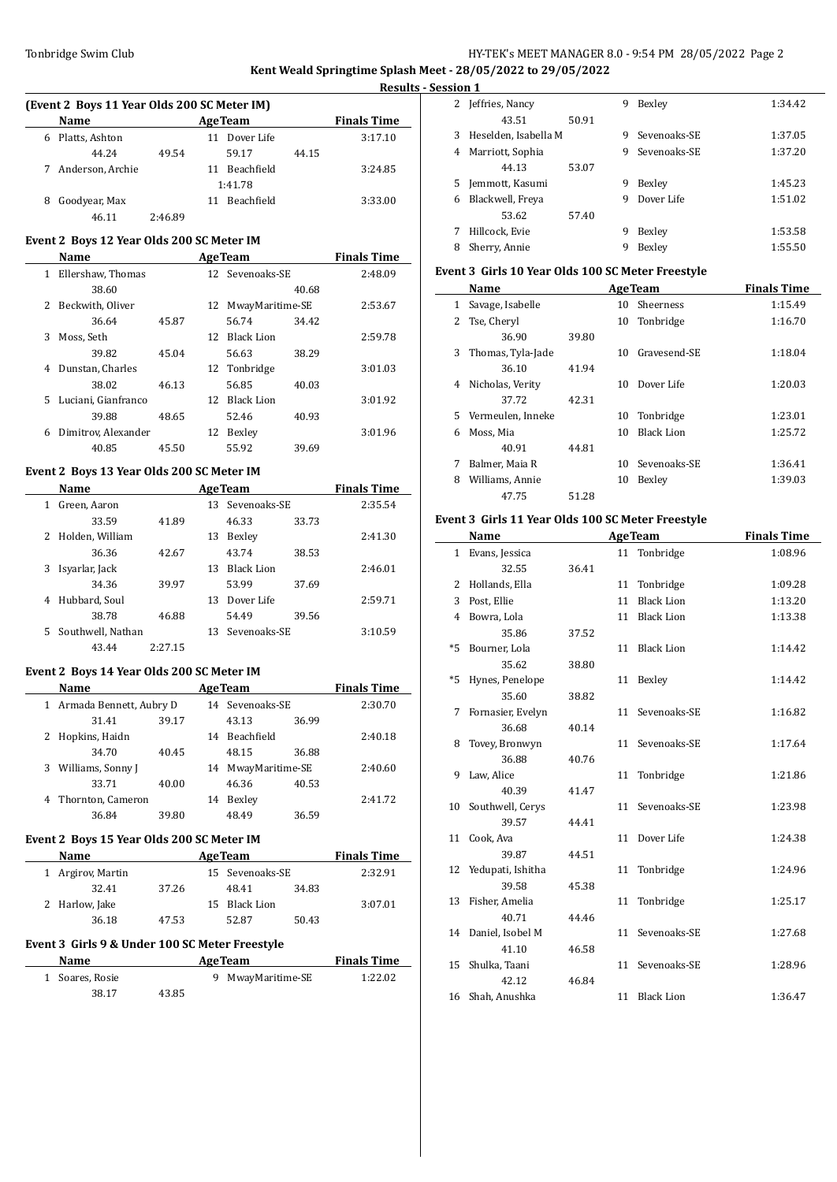**Kent Weald Springtime Splash Meet - 28/05/2022 to 29/05/2022**

 $\overline{\phantom{a}}$ 

 $\frac{1}{2}$ 

| (Event 2 Boys 11 Year Olds 200 SC Meter IM) |                  |         |                  |       |                    |  |  |
|---------------------------------------------|------------------|---------|------------------|-------|--------------------|--|--|
|                                             | Name             |         | <b>AgeTeam</b>   |       | <b>Finals Time</b> |  |  |
| 6                                           | Platts, Ashton   |         | 11 Dover Life    |       | 3:17.10            |  |  |
|                                             | 44.24            | 49.54   | 59.17            | 44.15 |                    |  |  |
|                                             | Anderson, Archie |         | Beachfield<br>11 |       | 3:24.85            |  |  |
|                                             |                  |         | 1:41.78          |       |                    |  |  |
| 8                                           | Goodyear, Max    |         | Beachfield<br>11 |       | 3:33.00            |  |  |
|                                             | 46.11            | 2:46.89 |                  |       |                    |  |  |

## **Event 2 Boys 12 Year Olds 200 SC Meter IM**

|    | Name                |       |    | <b>AgeTeam</b>  |       | <b>Finals Time</b> |
|----|---------------------|-------|----|-----------------|-------|--------------------|
| 1. | Ellershaw, Thomas   |       |    | 12 Sevenoaks-SE |       | 2:48.09            |
|    | 38.60               |       |    |                 | 40.68 |                    |
| 2  | Beckwith, Oliver    |       | 12 | MwayMaritime-SE |       | 2:53.67            |
|    | 36.64               | 45.87 |    | 56.74           | 34.42 |                    |
| 3  | Moss, Seth          |       |    | 12 Black Lion   |       | 2:59.78            |
|    | 39.82               | 45.04 |    | 56.63           | 38.29 |                    |
| 4  | Dunstan, Charles    |       |    | 12 Tonbridge    |       | 3:01.03            |
|    | 38.02               | 46.13 |    | 56.85           | 40.03 |                    |
| 5. | Luciani, Gianfranco |       |    | 12 Black Lion   |       | 3:01.92            |
|    | 39.88               | 48.65 |    | 52.46           | 40.93 |                    |
| 6  | Dimitrov, Alexander |       | 12 | Bexley          |       | 3:01.96            |
|    | 40.85               | 45.50 |    | 55.92           | 39.69 |                    |

## **Event 2 Boys 13 Year Olds 200 SC Meter IM**

|    | Name              |         |     | <b>AgeTeam</b>    |       | <b>Finals Time</b> |
|----|-------------------|---------|-----|-------------------|-------|--------------------|
| 1  | Green, Aaron      |         | 13. | Sevenoaks-SE      |       | 2:35.54            |
|    | 33.59             | 41.89   |     | 46.33             | 33.73 |                    |
| 2  | Holden, William   |         | 13  | Bexley            |       | 2:41.30            |
|    | 36.36             | 42.67   |     | 43.74             | 38.53 |                    |
| 3  | Isyarlar, Jack    |         | 13  | <b>Black Lion</b> |       | 2:46.01            |
|    | 34.36             | 39.97   |     | 53.99             | 37.69 |                    |
| 4  | Hubbard, Soul     |         | 13  | Dover Life        |       | 2:59.71            |
|    | 38.78             | 46.88   |     | 54.49             | 39.56 |                    |
| 5. | Southwell, Nathan |         | 13  | Sevenoaks-SE      |       | 3:10.59            |
|    | 43.44             | 2.27.15 |     |                   |       |                    |

## **Event 2 Boys 14 Year Olds 200 SC Meter IM**

|   | Name                    |       |    | <b>AgeTeam</b>     |       | <b>Finals Time</b> |
|---|-------------------------|-------|----|--------------------|-------|--------------------|
| 1 | Armada Bennett, Aubry D |       |    | 14 Sevenoaks-SE    |       | 2:30.70            |
|   | 31.41                   | 39.17 |    | 43.13              | 36.99 |                    |
|   | Hopkins, Haidn          |       | 14 | Beachfield         |       | 2:40.18            |
|   | 34.70                   | 40.45 |    | 48.15              | 36.88 |                    |
| 3 | Williams, Sonny J       |       |    | 14 MwayMaritime-SE |       | 2:40.60            |
|   | 33.71                   | 40.00 |    | 46.36              | 40.53 |                    |
| 4 | Thornton, Cameron       |       | 14 | Bexley             |       | 2:41.72            |
|   | 36.84                   | 39.80 |    | 48.49              | 36.59 |                    |
|   |                         |       |    |                    |       |                    |

## **Event 2 Boys 15 Year Olds 200 SC Meter IM**

| <b>Name</b>       |       |    | <b>AgeTeam</b>  |       | <b>Finals Time</b> |
|-------------------|-------|----|-----------------|-------|--------------------|
| 1 Argirov, Martin |       |    | 15 Sevenoaks-SE |       | 2:32.91            |
| 32.41             | 37.26 |    | 48.41           | 34.83 |                    |
| 2 Harlow, Jake    |       | 15 | Black Lion      |       | 3:07.01            |
| 36.18             | 47.53 |    | 52.87           | 50.43 |                    |

## **Event 3 Girls 9 & Under 100 SC Meter Freestyle**

| Name            |       | <b>AgeTeam</b>    | <b>Finals Time</b> |
|-----------------|-------|-------------------|--------------------|
| 1 Soares, Rosie |       | 9 MwayMaritime-SE | 1:22.02            |
| 38.17           | 43.85 |                   |                    |

| <b>Results - Session 1</b> |    |                        |       |   |              |         |
|----------------------------|----|------------------------|-------|---|--------------|---------|
|                            |    | 2 Jeffries, Nancy      |       | 9 | Bexley       | 1:34.42 |
| `ime                       |    | 43.51                  | 50.91 |   |              |         |
| 7.10                       |    | 3 Heselden, Isabella M |       | 9 | Sevenoaks-SE | 1:37.05 |
|                            | 4  | Marriott, Sophia       |       | 9 | Sevenoaks-SE | 1:37.20 |
| 4.85                       |    | 44.13                  | 53.07 |   |              |         |
|                            | 5. | Jemmott, Kasumi        |       | 9 | Bexley       | 1:45.23 |
| 3.00                       | 6  | Blackwell, Freya       |       | 9 | Dover Life   | 1:51.02 |
|                            |    | 53.62                  | 57.40 |   |              |         |
|                            | 7  | Hillcock, Evie         |       | 9 | Bexley       | 1:53.58 |
| ے ممت                      | 8  | Sherry, Annie          |       | 9 | Bexley       | 1:55.50 |
|                            |    |                        |       |   |              |         |

## **Event 3 Girls 10 Year Olds 100 SC Meter Freestyle**

|    | Name              |       |    | <b>AgeTeam</b>    | <b>Finals Time</b> |
|----|-------------------|-------|----|-------------------|--------------------|
| 1  | Savage, Isabelle  |       | 10 | <b>Sheerness</b>  | 1:15.49            |
| 2  | Tse, Cheryl       |       | 10 | Tonbridge         | 1:16.70            |
|    | 36.90             | 39.80 |    |                   |                    |
| 3  | Thomas, Tyla-Jade |       | 10 | Gravesend-SE      | 1:18.04            |
|    | 36.10             | 41.94 |    |                   |                    |
| 4  | Nicholas, Verity  |       | 10 | Dover Life        | 1:20.03            |
|    | 37.72             | 42.31 |    |                   |                    |
| 5. | Vermeulen, Inneke |       | 10 | Tonbridge         | 1:23.01            |
| 6  | Moss, Mia         |       | 10 | <b>Black Lion</b> | 1:25.72            |
|    | 40.91             | 44.81 |    |                   |                    |
| 7  | Balmer, Maia R    |       | 10 | Sevenoaks-SE      | 1:36.41            |
| 8  | Williams, Annie   |       | 10 | Bexley            | 1:39.03            |
|    | 47.75             | 51.28 |    |                   |                    |

## **Event 3 Girls 11 Year Olds 100 SC Meter Freestyle**

|              | Name                |       |    | <b>AgeTeam</b>    | <b>Finals Time</b> |
|--------------|---------------------|-------|----|-------------------|--------------------|
| $\mathbf{1}$ | Evans, Jessica      |       |    | 11 Tonbridge      | 1:08.96            |
|              | 32.55               | 36.41 |    |                   |                    |
| 2            | Hollands, Ella      |       | 11 | Tonbridge         | 1:09.28            |
| 3            | Post, Ellie         |       | 11 | <b>Black Lion</b> | 1:13.20            |
| 4            | Bowra, Lola         |       | 11 | <b>Black Lion</b> | 1:13.38            |
|              | 35.86               | 37.52 |    |                   |                    |
| $*5$         | Bourner, Lola       |       |    | 11 Black Lion     | 1:14.42            |
|              | 35.62               | 38.80 |    |                   |                    |
| $*5$         | Hynes, Penelope     |       | 11 | Bexley            | 1:14.42            |
|              | 35.60               | 38.82 |    |                   |                    |
| 7            | Fornasier, Evelyn   |       |    | 11 Sevenoaks-SE   | 1:16.82            |
|              | 36.68               | 40.14 |    |                   |                    |
| 8            | Tovey, Bronwyn      |       | 11 | Sevenoaks-SE      | 1:17.64            |
|              | 36.88               | 40.76 |    |                   |                    |
| 9            | Law, Alice          |       | 11 | Tonbridge         | 1:21.86            |
|              | 40.39               | 41.47 |    |                   |                    |
| 10           | Southwell, Cerys    |       | 11 | Sevenoaks-SE      | 1:23.98            |
|              | 39.57               | 44.41 |    |                   |                    |
| 11           | Cook, Ava           |       | 11 | Dover Life        | 1:24.38            |
|              | 39.87               | 44.51 |    |                   |                    |
| 12           | Yedupati, Ishitha   |       | 11 | Tonbridge         | 1:24.96            |
|              | 39.58               | 45.38 |    |                   |                    |
| 13           | Fisher, Amelia      |       | 11 | Tonbridge         | 1:25.17            |
|              | 40.71               | 44.46 |    |                   |                    |
|              | 14 Daniel, Isobel M |       | 11 | Sevenoaks-SE      | 1:27.68            |
|              | 41.10               | 46.58 |    |                   |                    |
| 15           | Shulka, Taani       |       | 11 | Sevenoaks-SE      | 1:28.96            |
|              | 42.12               | 46.84 |    |                   |                    |
|              | 16 Shah, Anushka    |       | 11 | <b>Black Lion</b> | 1:36.47            |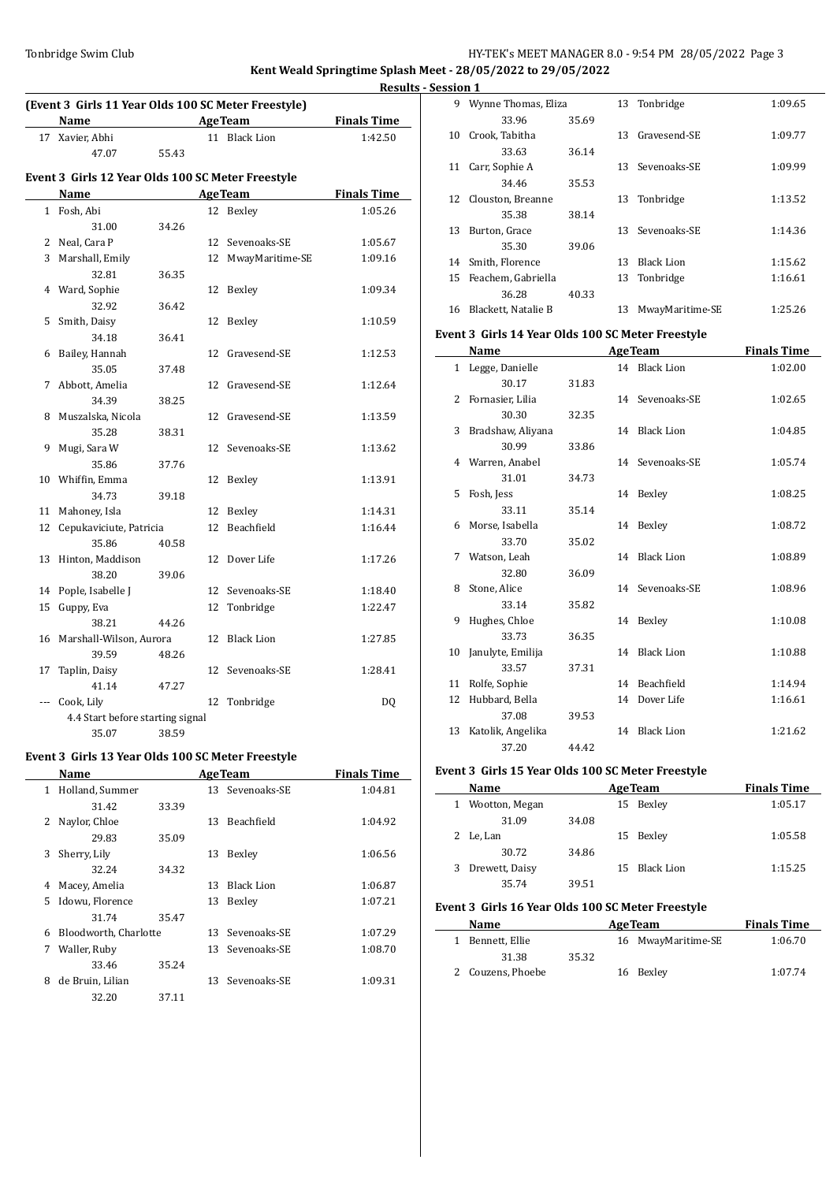**Kent Weald Springtime Splash Meet - 28/05/2022 to 29/05/2022**

| (Event 3 Girls 11 Year Olds 100 SC Meter Freestyle) |                                                   |                |    |                   |                    |  |  |
|-----------------------------------------------------|---------------------------------------------------|----------------|----|-------------------|--------------------|--|--|
|                                                     | Name                                              | <b>AgeTeam</b> |    |                   | <b>Finals Time</b> |  |  |
| 17                                                  | Xavier, Abhi                                      |                |    | 11 Black Lion     | 1:42.50            |  |  |
|                                                     | 47.07                                             | 55.43          |    |                   |                    |  |  |
|                                                     | Event 3 Girls 12 Year Olds 100 SC Meter Freestyle |                |    |                   |                    |  |  |
|                                                     | Name                                              |                |    | <b>AgeTeam</b>    | <b>Finals Time</b> |  |  |
|                                                     | 1 Fosh, Abi                                       |                | 12 | Bexley            | 1:05.26            |  |  |
|                                                     | 31.00                                             | 34.26          |    |                   |                    |  |  |
| 2                                                   | Neal, Cara P                                      |                |    | 12 Sevenoaks-SE   | 1:05.67            |  |  |
| 3                                                   | Marshall, Emily                                   |                | 12 | MwayMaritime-SE   | 1:09.16            |  |  |
|                                                     | 32.81                                             | 36.35          |    |                   |                    |  |  |
|                                                     | 4 Ward, Sophie                                    |                | 12 | Bexley            | 1:09.34            |  |  |
|                                                     | 32.92                                             | 36.42          |    |                   |                    |  |  |
| 5                                                   | Smith, Daisy                                      |                | 12 | Bexley            | 1:10.59            |  |  |
|                                                     | 34.18                                             | 36.41          |    |                   |                    |  |  |
| 6                                                   | Bailey, Hannah                                    |                | 12 | Gravesend-SE      | 1:12.53            |  |  |
|                                                     | 35.05                                             | 37.48          |    |                   |                    |  |  |
| 7                                                   | Abbott, Amelia                                    |                | 12 | Gravesend-SE      | 1:12.64            |  |  |
|                                                     | 34.39                                             | 38.25          |    |                   |                    |  |  |
| 8                                                   | Muszalska, Nicola                                 |                | 12 | Gravesend-SE      | 1:13.59            |  |  |
|                                                     | 35.28                                             | 38.31          |    |                   |                    |  |  |
| 9                                                   | Mugi, Sara W                                      |                |    | 12 Sevenoaks-SE   | 1:13.62            |  |  |
|                                                     | 35.86                                             | 37.76          |    |                   |                    |  |  |
| 10                                                  | Whiffin, Emma                                     |                | 12 | Bexley            | 1:13.91            |  |  |
|                                                     | 34.73                                             | 39.18          |    |                   |                    |  |  |
| 11                                                  | Mahoney, Isla                                     |                | 12 | Bexley            | 1:14.31            |  |  |
| 12                                                  | Cepukaviciute, Patricia                           |                | 12 | Beachfield        | 1:16.44            |  |  |
|                                                     | 35.86                                             | 40.58          |    |                   |                    |  |  |
| 13                                                  | Hinton, Maddison                                  |                | 12 | Dover Life        | 1:17.26            |  |  |
|                                                     | 38.20                                             | 39.06          |    |                   |                    |  |  |
| 14                                                  | Pople, Isabelle J                                 |                |    | 12 Sevenoaks-SE   | 1:18.40            |  |  |
| 15                                                  | Guppy, Eva                                        |                | 12 | Tonbridge         | 1:22.47            |  |  |
|                                                     | 38.21                                             | 44.26          |    |                   |                    |  |  |
| 16                                                  | Marshall-Wilson, Aurora                           |                | 12 | <b>Black Lion</b> | 1:27.85            |  |  |
|                                                     | 39.59                                             | 48.26          |    |                   |                    |  |  |
| 17                                                  | Taplin, Daisy                                     |                |    | 12 Sevenoaks-SE   | 1:28.41            |  |  |
|                                                     | 41.14                                             | 47.27          |    |                   |                    |  |  |
| $\overline{a}$                                      | Cook, Lily                                        |                | 12 | Tonbridge         | DQ                 |  |  |
|                                                     | 4.4 Start before starting signal                  |                |    |                   |                    |  |  |
|                                                     | 35.07                                             | 38.59          |    |                   |                    |  |  |
|                                                     | Event 3 Girls 13 Year Olds 100 SC Meter Freestyle |                |    |                   |                    |  |  |
|                                                     | <b>Name</b>                                       |                |    | <b>AgeTeam</b>    | <b>Finals Time</b> |  |  |

|              | Name                  |       |     | <b>AgeTeam</b>    | <b>Finals Time</b> |
|--------------|-----------------------|-------|-----|-------------------|--------------------|
| $\mathbf{1}$ | Holland, Summer       |       |     | 13 Sevenoaks-SE   | 1:04.81            |
|              | 31.42                 | 33.39 |     |                   |                    |
| 2            | Naylor, Chloe         |       | 13  | Beachfield        | 1:04.92            |
|              | 29.83                 | 35.09 |     |                   |                    |
| 3            | Sherry, Lily          |       | 13  | Bexley            | 1:06.56            |
|              | 32.24                 | 34.32 |     |                   |                    |
| 4            | Macey, Amelia         |       | 13  | <b>Black Lion</b> | 1:06.87            |
| 5.           | Idowu, Florence       |       | 13  | Bexley            | 1:07.21            |
|              | 31.74                 | 35.47 |     |                   |                    |
| 6            | Bloodworth, Charlotte |       | 13. | Sevenoaks-SE      | 1:07.29            |
| 7            | Waller, Ruby          |       | 13. | Sevenoaks-SE      | 1:08.70            |
|              | 33.46                 | 35.24 |     |                   |                    |
| 8            | de Bruin, Lilian      |       | 13  | Sevenoaks-SE      | 1:09.31            |
|              | 32.20                 | 37.11 |     |                   |                    |
|              |                       |       |     |                   |                    |

|             | <b>Results - Session 1</b> |                       |       |    |                 |         |
|-------------|----------------------------|-----------------------|-------|----|-----------------|---------|
|             | 9                          | Wynne Thomas, Eliza   |       |    | 13 Tonbridge    | 1:09.65 |
| <b>Time</b> |                            | 33.96                 | 35.69 |    |                 |         |
| $-2.50$     |                            | 10 Crook, Tabitha     |       | 13 | Gravesend-SE    | 1:09.77 |
|             |                            | 33.63                 | 36.14 |    |                 |         |
|             |                            | 11 Carr, Sophie A     |       |    | 13 Sevenoaks-SE | 1:09.99 |
|             |                            | 34.46                 | 35.53 |    |                 |         |
| <b>Time</b> |                            | 12 Clouston, Breanne  |       | 13 | Tonbridge       | 1:13.52 |
| 15.26       |                            | 35.38                 | 38.14 |    |                 |         |
|             | 13                         | Burton, Grace         |       | 13 | Sevenoaks-SE    | 1:14.36 |
| 15.67       |                            | 35.30                 | 39.06 |    |                 |         |
| 19.16       |                            | 14 Smith, Florence    |       | 13 | Black Lion      | 1:15.62 |
|             |                            | 15 Feachem, Gabriella |       |    | 13 Tonbridge    | 1:16.61 |
| 19.34       |                            | 36.28                 | 40.33 |    |                 |         |
|             | 16                         | Blackett, Natalie B   |       | 13 | MwayMaritime-SE | 1:25.26 |

### **Event 3 Girls 14 Year Olds 100 SC Meter Freestyle**

|    | Name                 |       |    | <b>AgeTeam</b>  | <b>Finals Time</b> |
|----|----------------------|-------|----|-----------------|--------------------|
|    | 1 Legge, Danielle    |       |    | 14 Black Lion   | 1:02.00            |
|    | 30.17                | 31.83 |    |                 |                    |
|    | 2 Fornasier, Lilia   |       |    | 14 Sevenoaks-SE | 1:02.65            |
|    | 30.30                | 32.35 |    |                 |                    |
| 3  | Bradshaw, Aliyana    |       |    | 14 Black Lion   | 1:04.85            |
|    | 30.99                | 33.86 |    |                 |                    |
|    | 4 Warren, Anabel     |       |    | 14 Sevenoaks-SE | 1:05.74            |
|    | 31.01                | 34.73 |    |                 |                    |
| 5. | Fosh, Jess           |       |    | 14 Bexley       | 1:08.25            |
|    | 33.11                | 35.14 |    |                 |                    |
|    | 6 Morse, Isabella    |       |    | 14 Bexley       | 1:08.72            |
|    | 33.70                | 35.02 |    |                 |                    |
|    | 7 Watson, Leah       |       |    | 14 Black Lion   | 1:08.89            |
|    | 32.80                | 36.09 |    |                 |                    |
|    | 8 Stone, Alice       |       |    | 14 Sevenoaks-SE | 1:08.96            |
|    | 33.14                | 35.82 |    |                 |                    |
| 9  | Hughes, Chloe        |       |    | 14 Bexley       | 1:10.08            |
|    | 33.73                | 36.35 |    |                 |                    |
|    | 10 Janulyte, Emilija |       |    | 14 Black Lion   | 1:10.88            |
|    | 33.57                | 37.31 |    |                 |                    |
| 11 | Rolfe, Sophie        |       |    | 14 Beachfield   | 1:14.94            |
| 12 | Hubbard, Bella       |       | 14 | Dover Life      | 1:16.61            |
|    | 37.08                | 39.53 |    |                 |                    |
|    | 13 Katolik, Angelika |       |    | 14 Black Lion   | 1:21.62            |
|    | 37.20                | 44.42 |    |                 |                    |

### **Event 3 Girls 15 Year Olds 100 SC Meter Freestyle**

| Name             |       |    | <b>AgeTeam</b> | <b>Finals Time</b> |
|------------------|-------|----|----------------|--------------------|
| 1 Wootton, Megan |       | 15 | Bexley         | 1:05.17            |
| 31.09            | 34.08 |    |                |                    |
| 2 Le, Lan        |       |    | 15 Bexley      | 1:05.58            |
| 30.72            | 34.86 |    |                |                    |
| 3 Drewett, Daisy |       |    | 15 Black Lion  | 1:15.25            |
| 35.74            | 39.51 |    |                |                    |

### **Event 3 Girls 16 Year Olds 100 SC Meter Freestyle**

|    | Name              |       | <b>AgeTeam</b>     | <b>Finals Time</b> |
|----|-------------------|-------|--------------------|--------------------|
| 1. | Bennett, Ellie    |       | 16 MwayMaritime-SE | 1:06.70            |
|    | 31.38             | 35.32 |                    |                    |
|    | 2 Couzens, Phoebe |       | 16 Bexley          | 1:07.74            |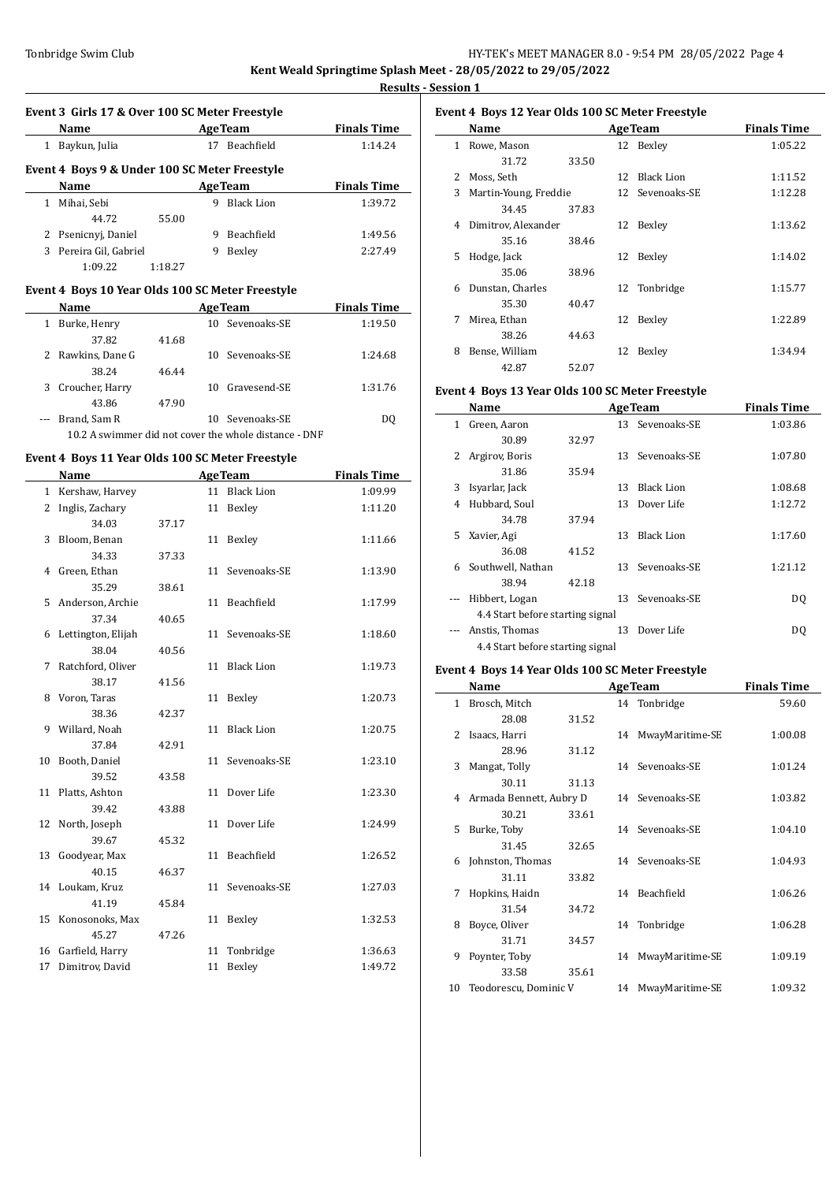**Results - Session 1**

 $\overline{\phantom{a}}$ 

|     | Event 3 Girls 17 & Over 100 SC Meter Freestyle          |         |    |                                                       |                    |
|-----|---------------------------------------------------------|---------|----|-------------------------------------------------------|--------------------|
|     | Name<br><u> 1990 - Johann Barbara, politik e</u>        |         |    | <b>AgeTeam</b>                                        | <b>Finals Time</b> |
|     | 1 Baykun, Julia                                         |         |    | 17 Beachfield                                         | 1:14.24            |
|     | Event 4 Boys 9 & Under 100 SC Meter Freestyle           |         |    |                                                       |                    |
|     | Name                                                    |         |    | <b>AgeTeam</b>                                        | <b>Finals Time</b> |
|     | 1 Mihai, Sebi                                           |         |    | 9 Black Lion                                          | 1:39.72            |
|     | 44.72                                                   | 55.00   |    |                                                       |                    |
|     | 2 Psenicnyj, Daniel                                     |         |    | 9 Beachfield                                          | 1:49.56            |
|     | 3 Pereira Gil, Gabriel                                  |         | 9  | Bexley                                                | 2:27.49            |
|     | 1:09.22                                                 | 1:18.27 |    |                                                       |                    |
|     | Event 4 Boys 10 Year Olds 100 SC Meter Freestyle        |         |    |                                                       |                    |
|     | Name                                                    |         |    | <b>AgeTeam</b>                                        | <b>Finals Time</b> |
|     | 1 Burke, Henry                                          |         |    | 10 Sevenoaks-SE                                       | 1:19.50            |
|     | 37.82                                                   | 41.68   |    |                                                       |                    |
|     | 2 Rawkins, Dane G                                       |         |    | 10 Sevenoaks-SE                                       | 1:24.68            |
|     | 38.24                                                   | 46.44   |    |                                                       |                    |
|     | 3 Croucher, Harry                                       |         |    | 10 Gravesend-SE                                       | 1:31.76            |
|     | 43.86                                                   | 47.90   |    |                                                       |                    |
| --- | Brand, Sam R                                            |         |    | 10 Sevenoaks-SE                                       | DQ                 |
|     |                                                         |         |    | 10.2 A swimmer did not cover the whole distance - DNF |                    |
|     |                                                         |         |    |                                                       |                    |
|     | Event 4 Boys 11 Year Olds 100 SC Meter Freestyle        |         |    |                                                       |                    |
|     | Name<br><u> 1989 - Johann Barnett, fransk politiker</u> |         |    | <b>AgeTeam</b><br>11 Black Lion                       | <b>Finals Time</b> |
|     | 1 Kershaw, Harvey                                       |         |    |                                                       | 1:09.99            |
|     | 2 Inglis, Zachary                                       |         |    | 11 Bexley                                             | 1:11.20            |
|     | 34.03                                                   | 37.17   |    |                                                       |                    |
|     | 3 Bloom, Benan                                          |         |    | 11 Bexley                                             | 1:11.66            |
|     | 34.33                                                   | 37.33   |    |                                                       |                    |
|     | 4 Green, Ethan                                          |         |    | 11 Sevenoaks-SE                                       | 1:13.90            |
|     | 35.29                                                   | 38.61   |    |                                                       |                    |
|     | 5 Anderson, Archie                                      |         |    | 11 Beachfield                                         | 1:17.99            |
|     | 37.34                                                   | 40.65   |    |                                                       |                    |
|     | 6 Lettington, Elijah                                    |         |    | 11 Sevenoaks-SE                                       | 1:18.60            |
|     | 38.04                                                   | 40.56   |    |                                                       |                    |
|     | 7 Ratchford, Oliver                                     |         |    | 11 Black Lion                                         | 1:19.73            |
|     | 38.17                                                   | 41.56   |    |                                                       |                    |
|     | 8 Voron, Taras                                          |         |    | 11 Bexley                                             | 1:20.73            |
|     | 38.36                                                   | 42.37   |    |                                                       |                    |
| 9   | Willard, Noah                                           |         |    | 11 Black Lion                                         | 1:20.75            |
|     | 37.84                                                   | 42.91   |    |                                                       |                    |
| 10  | Booth, Daniel                                           |         |    | 11 Sevenoaks-SE                                       | 1:23.10            |
|     | 39.52                                                   | 43.58   |    |                                                       |                    |
| 11  | Platts, Ashton                                          |         | 11 | Dover Life                                            | 1:23.30            |
|     | 39.42                                                   | 43.88   |    |                                                       |                    |
| 12  | North, Joseph                                           |         | 11 | Dover Life                                            | 1:24.99            |
|     | 39.67                                                   | 45.32   |    |                                                       |                    |
| 13  | Goodyear, Max                                           |         | 11 | Beachfield                                            | 1:26.52            |
|     | 40.15                                                   | 46.37   |    |                                                       |                    |
| 14  | Loukam, Kruz                                            |         | 11 | Sevenoaks-SE                                          | 1:27.03            |
|     | 41.19                                                   | 45.84   |    |                                                       |                    |
| 15  | Konosonoks, Max                                         |         | 11 | Bexley                                                | 1:32.53            |
|     | 45.27                                                   | 47.26   |    |                                                       |                    |

16 Garfield, Harry 11 Tonbridge 1:36.63 17 Dimitrov, David 11 Bexley 1:49.72

## **Event 4 Boys 12 Year Olds 100 SC Meter Freestyle**

|    | Name                  |       |    | <b>AgeTeam</b>    | <b>Finals Time</b> |
|----|-----------------------|-------|----|-------------------|--------------------|
| 1  | Rowe, Mason           |       |    | 12 Bexley         | 1:05.22            |
|    | 31.72                 | 33.50 |    |                   |                    |
| 2  | Moss, Seth            |       | 12 | <b>Black Lion</b> | 1:11.52            |
| 3  | Martin-Young, Freddie |       |    | 12 Sevenoaks-SE   | 1:12.28            |
|    | 34.45                 | 37.83 |    |                   |                    |
| 4  | Dimitrov, Alexander   |       | 12 | Bexley            | 1:13.62            |
|    | 35.16                 | 38.46 |    |                   |                    |
| 5. | Hodge, Jack           |       | 12 | Bexley            | 1:14.02            |
|    | 35.06                 | 38.96 |    |                   |                    |
| 6  | Dunstan, Charles      |       | 12 | Tonbridge         | 1:15.77            |
|    | 35.30                 | 40.47 |    |                   |                    |
| 7  | Mirea, Ethan          |       | 12 | Bexley            | 1:22.89            |
|    | 38.26                 | 44.63 |    |                   |                    |
| 8  | Bense, William        |       | 12 | Bexley            | 1:34.94            |
|    | 42.87                 | 52.07 |    |                   |                    |

## **Event 4 Boys 13 Year Olds 100 SC Meter Freestyle**

|    | Name                             |       |    | <b>AgeTeam</b>    | <b>Finals Time</b> |
|----|----------------------------------|-------|----|-------------------|--------------------|
| 1  | Green, Aaron                     |       |    | 13 Sevenoaks-SE   | 1:03.86            |
|    | 30.89                            | 32.97 |    |                   |                    |
| 2  | Argirov, Boris                   |       | 13 | Sevenoaks-SE      | 1:07.80            |
|    | 31.86                            | 35.94 |    |                   |                    |
| 3  | Isyarlar, Jack                   |       | 13 | <b>Black Lion</b> | 1:08.68            |
| 4  | Hubbard, Soul                    |       | 13 | Dover Life        | 1:12.72            |
|    | 34.78                            | 37.94 |    |                   |                    |
| 5. | Xavier, Agi                      |       | 13 | <b>Black Lion</b> | 1:17.60            |
|    | 36.08                            | 41.52 |    |                   |                    |
| 6  | Southwell, Nathan                |       | 13 | Sevenoaks-SE      | 1:21.12            |
|    | 38.94                            | 42.18 |    |                   |                    |
|    | Hibbert, Logan                   |       | 13 | Sevenoaks-SE      | DQ                 |
|    | 4.4 Start before starting signal |       |    |                   |                    |
|    | Anstis, Thomas                   |       | 13 | Dover Life        | DO                 |
|    | 4.4 Start before starting signal |       |    |                   |                    |

#### **Event 4 Boys 14 Year Olds 100 SC Meter Freestyle**

|    | Name                     |       |    | <b>AgeTeam</b>  | <b>Finals Time</b> |
|----|--------------------------|-------|----|-----------------|--------------------|
| 1  | Brosch, Mitch            |       |    | 14 Tonbridge    | 59.60              |
|    | 28.08                    | 31.52 |    |                 |                    |
| 2  | Isaacs, Harri            |       | 14 | MwayMaritime-SE | 1:00.08            |
|    | 28.96                    | 31.12 |    |                 |                    |
| 3  | Mangat, Tolly            |       | 14 | Sevenoaks-SE    | 1:01.24            |
|    | 30.11                    | 31.13 |    |                 |                    |
| 4  | Armada Bennett, Aubry D  |       |    | 14 Sevenoaks-SE | 1:03.82            |
|    | 30.21                    | 33.61 |    |                 |                    |
| 5. | Burke, Toby              |       | 14 | Sevenoaks-SE    | 1:04.10            |
|    | 31.45                    | 32.65 |    |                 |                    |
| 6  | Johnston, Thomas         |       |    | 14 Sevenoaks-SE | 1:04.93            |
|    | 31.11                    | 33.82 |    |                 |                    |
| 7  | Hopkins, Haidn           |       | 14 | Beachfield      | 1:06.26            |
|    | 31.54                    | 34.72 |    |                 |                    |
| 8  | Boyce, Oliver            |       | 14 | Tonbridge       | 1:06.28            |
|    | 31.71                    | 34.57 |    |                 |                    |
| 9  | Poynter, Toby            |       | 14 | MwayMaritime-SE | 1:09.19            |
|    | 33.58                    | 35.61 |    |                 |                    |
|    | 10 Teodorescu, Dominic V |       | 14 | MwayMaritime-SE | 1:09.32            |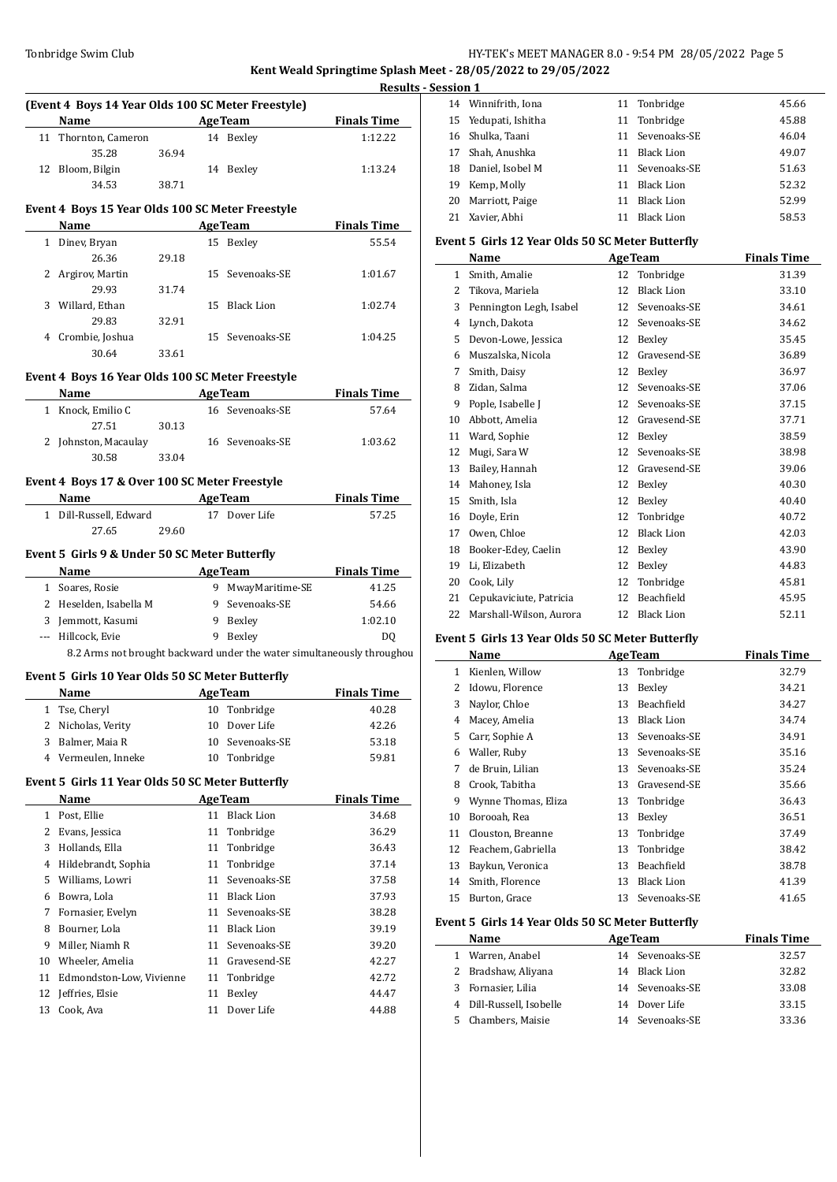**Kent Weald Springtime Splash Meet - 28/05/2022 to 29/05/2022 Results - Session 1**

|    |                                                    |                          |                              |                                                                        | $n$ coults $\sim$ 3 $\sim$ 3 $\sim$ 1011 $\sim$ |                       |
|----|----------------------------------------------------|--------------------------|------------------------------|------------------------------------------------------------------------|-------------------------------------------------|-----------------------|
|    | (Event 4 Boys 14 Year Olds 100 SC Meter Freestyle) |                          |                              |                                                                        |                                                 | 14 Winni              |
|    | Name                                               | <b>Example 2</b> AgeTeam |                              | <b>Finals Time</b>                                                     |                                                 | 15 Yedup              |
|    | 11 Thornton, Cameron                               |                          | 14 Bexley                    | 1:12.22                                                                |                                                 | 16 Shulka             |
|    | 35.28<br>36.94                                     |                          |                              |                                                                        |                                                 | 17 Shah,              |
|    | 12 Bloom, Bilgin                                   |                          | 14 Bexley                    | 1:13.24                                                                |                                                 | 18 Danie              |
|    | 34.53                                              | 38.71                    |                              |                                                                        |                                                 | 19 Kemp               |
|    | Event 4 Boys 15 Year Olds 100 SC Meter Freestyle   |                          |                              |                                                                        |                                                 | 20 Marrio             |
|    | Name                                               |                          | <b>Example 2</b> Age Team    | <b>Finals Time</b>                                                     |                                                 | 21 Xavier             |
|    | 1 Dinev, Bryan                                     |                          | 15 Bexley                    | 55.54                                                                  |                                                 | <b>Event 5 Gir</b>    |
|    | 26.36                                              | 29.18                    |                              |                                                                        |                                                 | Name                  |
|    | 2 Argirov, Martin                                  |                          | 15 Sevenoaks-SE              | 1:01.67                                                                |                                                 | 1 Smith               |
|    | 29.93                                              | 31.74                    |                              |                                                                        |                                                 | 2 Tikova              |
|    | 3 Willard, Ethan                                   |                          | 15 Black Lion                | 1:02.74                                                                |                                                 | 3 Penni               |
|    | 29.83                                              | 32.91                    |                              |                                                                        |                                                 | 4 Lynch               |
|    | 4 Crombie, Joshua                                  |                          | 15 Sevenoaks-SE              | 1:04.25                                                                |                                                 | 5 Devon               |
|    | 30.64                                              | 33.61                    |                              |                                                                        |                                                 | 6 Musza               |
|    |                                                    |                          |                              |                                                                        |                                                 | 7 Smith               |
|    | Event 4 Boys 16 Year Olds 100 SC Meter Freestyle   |                          |                              |                                                                        |                                                 | 8 Zidan,              |
|    | Name                                               |                          | <b>Example 2018 Age Team</b> | <b>Finals Time</b>                                                     |                                                 | 9 Pople,              |
|    | 1 Knock, Emilio C                                  |                          | 16 Sevenoaks-SE              | 57.64                                                                  |                                                 | 10 Abbot              |
|    | 27.51                                              | 30.13                    |                              |                                                                        |                                                 | 11 Ward,              |
|    | 2 Johnston, Macaulay                               |                          | 16 Sevenoaks-SE              | 1:03.62                                                                |                                                 | 12 Mugi,              |
|    | 30.58                                              | 33.04                    |                              |                                                                        |                                                 | 13 Bailey             |
|    | Event 4 Boys 17 & Over 100 SC Meter Freestyle      |                          |                              |                                                                        |                                                 | 14 Mahoi              |
|    | Name AgeTeam                                       |                          |                              | <b>Finals Time</b>                                                     |                                                 |                       |
|    | 1 Dill-Russell, Edward                             |                          | 17 Dover Life                | 57.25                                                                  |                                                 | 15 Smith<br>16 Doyle, |
|    | 27.65                                              | 29.60                    |                              |                                                                        |                                                 |                       |
|    |                                                    |                          |                              |                                                                        |                                                 | 17 Owen               |
|    | Event 5 Girls 9 & Under 50 SC Meter Butterfly      |                          |                              |                                                                        |                                                 | 18 Booke              |
|    | Name<br><b>Example 2 Age Team</b>                  |                          |                              | <b>Example 1</b> Finals Time                                           |                                                 | 19 Li, Eliz           |
|    | 1 Soares, Rosie                                    |                          | 9 MwayMaritime-SE            | 41.25                                                                  |                                                 | 20 Cook,              |
|    | 2 Heselden, Isabella M                             |                          | 9 Sevenoaks-SE               | 54.66                                                                  |                                                 | 21 Cepuk              |
|    | 3 Jemmott, Kasumi                                  |                          | 9 Bexley                     | 1:02.10                                                                |                                                 | 22 Marsh              |
|    | --- Hillcock, Evie                                 |                          | 9 Bexley                     | DO.                                                                    |                                                 | <b>Event 5 Gir</b>    |
|    |                                                    |                          |                              | 8.2 Arms not brought backward under the water simultaneously throughou |                                                 | Name                  |
|    | Event 5 Girls 10 Year Olds 50 SC Meter Butterfly   |                          |                              |                                                                        |                                                 | 1 Kienle              |
|    | Name                                               | <b>AgeTeam</b>           |                              | <b>Finals Time</b>                                                     |                                                 | 2 Idowu               |
|    | 1 Tse, Cheryl                                      |                          | 10 Tonbridge                 | 40.28                                                                  |                                                 | 3 Naylor              |
|    | 2 Nicholas, Verity                                 | 10                       | Dover Life                   | 42.26                                                                  |                                                 | 4 Macey               |
| 3  | Balmer, Maia R                                     | 10                       | Sevenoaks-SE                 | 53.18                                                                  |                                                 | 5 Carr, S             |
|    | 4 Vermeulen, Inneke                                | 10                       | Tonbridge                    | 59.81                                                                  | 6                                               | Waller                |
|    |                                                    |                          |                              |                                                                        | 7                                               | de Bru                |
|    | Event 5 Girls 11 Year Olds 50 SC Meter Butterfly   |                          |                              |                                                                        | 8                                               | Crook                 |
|    | Name                                               |                          | <b>AgeTeam</b>               | <b>Finals Time</b>                                                     | 9                                               | Wynn                  |
|    | 1 Post, Ellie                                      |                          | 11 Black Lion                | 34.68                                                                  | 10                                              | Boroo                 |
|    | 2 Evans, Jessica                                   | 11                       | Tonbridge                    | 36.29                                                                  | 11                                              | Cloust                |
|    | 3 Hollands, Ella                                   | 11                       | Tonbridge                    | 36.43                                                                  | 12                                              | Feach                 |
|    | 4 Hildebrandt, Sophia                              | 11                       | Tonbridge                    | 37.14                                                                  | 13                                              | Bayku                 |
| 5  | Williams, Lowri                                    | 11                       | Sevenoaks-SE                 | 37.58                                                                  | 14                                              | Smith                 |
|    | 6 Bowra, Lola                                      | 11                       | Black Lion                   | 37.93                                                                  | 15                                              | <b>Burto</b>          |
| 7  | Fornasier, Evelyn                                  | 11                       | Sevenoaks-SE                 | 38.28                                                                  |                                                 |                       |
| 8  | Bourner, Lola                                      | 11                       | Black Lion                   | 39.19                                                                  |                                                 | Event 5 Gir           |
| 9  | Miller, Niamh R                                    | 11                       | Sevenoaks-SE                 | 39.20                                                                  |                                                 | Name                  |
|    | 10 Wheeler, Amelia                                 |                          | 11 Gravesend-SE              | 42.27                                                                  |                                                 | 1 Warre               |
| 11 | Edmondston-Low, Vivienne                           | 11                       | Tonbridge                    | 42.72                                                                  | $\mathbf{2}$                                    | <b>Brads</b>          |
| 12 | Jeffries, Elsie                                    | 11                       | Bexley                       | 44.47                                                                  | 3                                               | Forna                 |
| 13 | Cook, Ava                                          | 11                       | Dover Life                   | 44.88                                                                  | 4                                               | Dill-R                |
|    |                                                    |                          |                              |                                                                        | 5                                               | Chaml                 |
|    |                                                    |                          |                              |                                                                        |                                                 |                       |

| ми 1 |                      |    |                   |       |
|------|----------------------|----|-------------------|-------|
|      | 14 Winnifrith, Iona  |    | 11 Tonbridge      | 45.66 |
|      | 15 Yedupati, Ishitha |    | 11 Tonbridge      | 45.88 |
|      | 16 Shulka, Taani     |    | 11 Sevenoaks-SE   | 46.04 |
|      | 17 Shah, Anushka     | 11 | Black Lion        | 49.07 |
|      | 18 Daniel, Isobel M  |    | 11 Sevenoaks-SE   | 51.63 |
| 19   | Kemp, Molly          | 11 | <b>Black Lion</b> | 52.32 |
| 20   | Marriott, Paige      | 11 | Black Lion        | 52.99 |
|      | 21 Xavier, Abhi      | 11 | <b>Black Lion</b> | 58.53 |

#### **Event 5 Girls 12 Year Olds 50 SC Meter Butterfly**

|    | Name                    |    | <b>AgeTeam</b>    | <b>Finals Time</b> |
|----|-------------------------|----|-------------------|--------------------|
| 1  | Smith, Amalie           | 12 | Tonbridge         | 31.39              |
| 2  | Tikova, Mariela         | 12 | <b>Black Lion</b> | 33.10              |
| 3  | Pennington Legh, Isabel | 12 | Sevenoaks-SE      | 34.61              |
| 4  | Lynch, Dakota           | 12 | Sevenoaks-SE      | 34.62              |
| 5  | Devon-Lowe, Jessica     | 12 | Bexley            | 35.45              |
| 6  | Muszalska, Nicola       | 12 | Gravesend-SE      | 36.89              |
| 7  | Smith, Daisy            | 12 | Bexley            | 36.97              |
| 8  | Zidan, Salma            | 12 | Sevenoaks-SE      | 37.06              |
| 9  | Pople, Isabelle J       | 12 | Sevenoaks-SE      | 37.15              |
| 10 | Abbott, Amelia          | 12 | Gravesend-SE      | 37.71              |
| 11 | Ward, Sophie            | 12 | Bexley            | 38.59              |
| 12 | Mugi, Sara W            | 12 | Sevenoaks-SE      | 38.98              |
| 13 | Bailey, Hannah          | 12 | Gravesend-SE      | 39.06              |
| 14 | Mahoney, Isla           | 12 | Bexley            | 40.30              |
| 15 | Smith, Isla             | 12 | Bexley            | 40.40              |
| 16 | Doyle, Erin             | 12 | Tonbridge         | 40.72              |
| 17 | Owen, Chloe             | 12 | <b>Black Lion</b> | 42.03              |
| 18 | Booker-Edey, Caelin     | 12 | Bexley            | 43.90              |
| 19 | Li, Elizabeth           | 12 | Bexley            | 44.83              |
| 20 | Cook, Lily              | 12 | Tonbridge         | 45.81              |
| 21 | Cepukaviciute, Patricia | 12 | Beachfield        | 45.95              |
| 22 | Marshall-Wilson, Aurora | 12 | <b>Black Lion</b> | 52.11              |

## **Event 5 Girls 13 Year Olds 50 SC Meter Butterfly**

|    | Name                |    | <b>AgeTeam</b>    | <b>Finals Time</b> |
|----|---------------------|----|-------------------|--------------------|
| 1  | Kienlen, Willow     | 13 | Tonbridge         | 32.79              |
| 2  | Idowu, Florence     | 13 | Bexley            | 34.21              |
| 3  | Naylor, Chloe       | 13 | Beachfield        | 34.27              |
| 4  | Macey, Amelia       | 13 | <b>Black Lion</b> | 34.74              |
| 5  | Carr, Sophie A      | 13 | Sevenoaks-SE      | 34.91              |
| 6  | Waller, Ruby        | 13 | Sevenoaks-SE      | 35.16              |
| 7  | de Bruin, Lilian    | 13 | Sevenoaks-SE      | 35.24              |
| 8  | Crook, Tabitha      | 13 | Gravesend-SE      | 35.66              |
| 9  | Wynne Thomas, Eliza | 13 | Tonbridge         | 36.43              |
| 10 | Borooah, Rea        | 13 | Bexley            | 36.51              |
| 11 | Clouston, Breanne   | 13 | Tonbridge         | 37.49              |
| 12 | Feachem, Gabriella  | 13 | Tonbridge         | 38.42              |
| 13 | Baykun, Veronica    | 13 | Beachfield        | 38.78              |
| 14 | Smith, Florence     | 13 | <b>Black Lion</b> | 41.39              |
| 15 | Burton, Grace       | 13 | Sevenoaks-SE      | 41.65              |

#### **Event 5 Girls 14 Year Olds 50 SC Meter Butterfly**

| Name                     | <b>AgeTeam</b>  | <b>Finals Time</b> |
|--------------------------|-----------------|--------------------|
| 1 Warren, Anabel         | 14 Sevenoaks-SE | 32.57              |
| 2 Bradshaw, Aliyana      | 14 Black Lion   | 32.82              |
| 3 Fornasier, Lilia       | 14 Sevenoaks-SE | 33.08              |
| 4 Dill-Russell, Isobelle | 14 Dover Life   | 33.15              |
| 5 Chambers, Maisie       | 14 Sevenoaks-SE | 33.36              |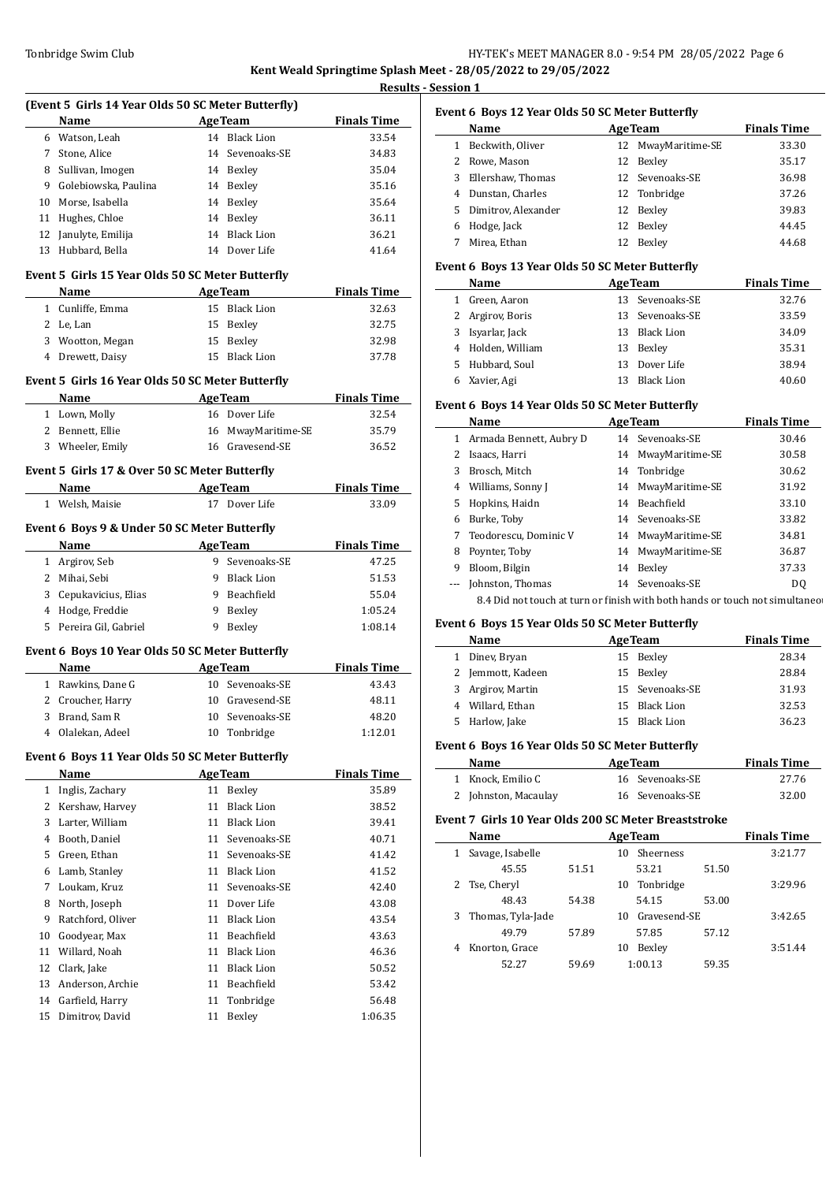## Tonbridge Swim Club **HY-TEK's MEET MANAGER 8.0 - 9:54 PM 28/05/2022** Page 6 **Kent Weald Springtime Splash Meet - 28/05/2022 to 29/05/2022**

**<u>ession 1</u>** 

|    | (Event 5 Girls 14 Year Olds 50 SC Meter Butterfly) |    |                                              |                             |
|----|----------------------------------------------------|----|----------------------------------------------|-----------------------------|
|    | <b>Example 2 Age Team</b><br>Name                  |    |                                              | <b>Finals Time</b>          |
|    | 6 Watson, Leah                                     |    | 14 Black Lion                                | 33.54                       |
|    | 7 Stone, Alice                                     |    | 14 Sevenoaks-SE                              | 34.83                       |
|    | 8 Sullivan, Imogen                                 |    | 14 Bexley                                    | 35.04                       |
|    | 9 Golebiowska, Paulina                             |    | 14 Bexley                                    | 35.16                       |
|    | 10 Morse, Isabella                                 |    | 14 Bexley                                    | 35.64                       |
|    | 11 Hughes, Chloe                                   |    | 14 Bexley                                    | 36.11                       |
|    | 12 Janulyte, Emilija                               |    | 14 Black Lion                                | 36.21                       |
|    | 13 Hubbard, Bella                                  |    | 14 Dover Life                                | 41.64                       |
|    | Event 5 Girls 15 Year Olds 50 SC Meter Butterfly   |    |                                              |                             |
|    | Name                                               |    | <b>Example 2018 Age Team</b>                 | <b>Finals Time</b>          |
|    | 1 Cunliffe, Emma                                   |    | 15 Black Lion                                | 32.63                       |
|    | 2 Le, Lan                                          |    | 15 Bexley                                    | 32.75                       |
|    | 3 Wootton, Megan                                   |    | 15 Bexley                                    | 32.98                       |
|    | 4 Drewett, Daisy                                   |    | 15 Black Lion                                | 37.78                       |
|    | Event 5 Girls 16 Year Olds 50 SC Meter Butterfly   |    |                                              |                             |
|    | Name                                               |    | <b>Example 2 AgeTeam</b> Prinals Time        |                             |
|    | 1 Lown, Molly                                      |    | 16 Dover Life                                | 32.54                       |
|    | 2 Bennett, Ellie                                   |    | 16 MwayMaritime-SE                           | 35.79                       |
|    | 3 Wheeler, Emily                                   |    | 16 Gravesend-SE                              | 36.52                       |
|    | Event 5 Girls 17 & Over 50 SC Meter Butterfly      |    |                                              |                             |
|    | Name                                               |    | <b>Example 2 Age Team</b> Finals Time        |                             |
|    | 1 Welsh, Maisie                                    |    | 17 Dover Life                                | 33.09                       |
|    | Event 6 Boys 9 & Under 50 SC Meter Butterfly       |    |                                              |                             |
|    | Name AgeTeam                                       |    |                                              | <b>Finals Time</b>          |
|    | 1 Argirov, Seb                                     |    | 9 Sevenoaks-SE                               | 47.25                       |
|    | 2 Mihai, Sebi                                      |    | 9 Black Lion                                 | 51.53                       |
|    | 3 Cepukavicius, Elias                              |    | 9 Beachfield                                 | 55.04                       |
|    | 4 Hodge, Freddie                                   |    | 9 Bexley                                     | 1:05.24                     |
|    |                                                    |    | 9 Bexley                                     | 1:08.14                     |
|    | 5 Pereira Gil, Gabriel                             |    |                                              |                             |
|    |                                                    |    |                                              |                             |
|    | Event 6 Boys 10 Year Olds 50 SC Meter Butterfly    |    |                                              |                             |
|    | Name<br>1 Rawkins, Dane G                          |    | <b>Example 2</b> Age Team<br>10 Sevenoaks-SE | <b>Finals Time</b><br>43.43 |
|    |                                                    |    | 10 Gravesend-SE                              | 48.11                       |
|    | 2 Croucher, Harry                                  |    |                                              |                             |
|    | 3 Brand, Sam R<br>4 Olalekan, Adeel                |    | 10 Sevenoaks-SE<br>10 Tonbridge              | 48.20<br>1:12.01            |
|    | Event 6 Boys 11 Year Olds 50 SC Meter Butterfly    |    |                                              |                             |
|    | Name                                               |    | <b>AgeTeam</b>                               |                             |
|    | 1 Inglis, Zachary                                  |    | 11 Bexley                                    | <b>Finals Time</b><br>35.89 |
|    |                                                    | 11 | <b>Black Lion</b>                            |                             |
|    | 2 Kershaw, Harvey<br>3 Larter, William             |    | 11 Black Lion                                | 38.52<br>39.41              |
|    |                                                    |    |                                              |                             |
|    | 4 Booth, Daniel                                    |    | 11 Sevenoaks-SE                              | 40.71                       |
|    | 5 Green, Ethan                                     |    | 11 Sevenoaks-SE                              | 41.42                       |
|    | 6 Lamb, Stanley                                    |    | 11 Black Lion                                | 41.52                       |
| 7  | Loukam, Kruz                                       | 11 | Sevenoaks-SE                                 | 42.40                       |
| 8  | North, Joseph                                      |    | 11 Dover Life                                | 43.08                       |
| 9  | Ratchford, Oliver                                  |    | 11 Black Lion                                | 43.54                       |
| 10 | Goodyear, Max                                      |    | 11 Beachfield                                | 43.63                       |
| 11 | Willard, Noah                                      |    | 11 Black Lion                                | 46.36                       |
|    | 12 Clark, Jake                                     |    | 11 Black Lion                                | 50.52                       |
|    | 13 Anderson, Archie                                |    | 11 Beachfield                                | 53.42                       |
|    | 14 Garfield, Harry                                 | 11 | Tonbridge<br>11 Bexley                       | 56.48                       |

### **Event 6 Boys 12 Year Olds 50 SC Meter Butterfly**

|    | <b>Name</b>           | <b>AgeTeam</b> | <b>Finals Time</b> |       |
|----|-----------------------|----------------|--------------------|-------|
| 1  | Beckwith, Oliver      |                | 12 MwayMaritime-SE | 33.30 |
| 2. | Rowe, Mason           | 12             | Bexley             | 35.17 |
| 3  | Ellershaw, Thomas     |                | 12 Sevenoaks-SE    | 36.98 |
| 4  | Dunstan, Charles      |                | 12 Tonbridge       | 37.26 |
|    | 5 Dimitrov, Alexander | 12             | Bexley             | 39.83 |
| 6  | Hodge, Jack           | 12             | Bexley             | 44.45 |
|    | Mirea, Ethan          | 12             | Bexley             | 44.68 |

## **Event 6 Boys 13 Year Olds 50 SC Meter Butterfly**

| Name              | <b>AgeTeam</b> |                   | <b>Finals Time</b> |
|-------------------|----------------|-------------------|--------------------|
| Green, Aaron      |                | 13 Sevenoaks-SE   | 32.76              |
| 2 Argirov, Boris  |                | 13 Sevenoaks-SE   | 33.59              |
| 3 Isyarlar, Jack  |                | 13 Black Lion     | 34.09              |
| 4 Holden, William | 13             | Bexley            | 35.31              |
| 5 Hubbard, Soul   | 13.            | Dover Life        | 38.94              |
| 6 Xavier, Agi     |                | <b>Black Lion</b> | 40.60              |

#### **Event 6 Boys 14 Year Olds 50 SC Meter Butterfly**

|   | Name                                                                         |    | <b>AgeTeam</b>     | <b>Finals Time</b> |  |  |
|---|------------------------------------------------------------------------------|----|--------------------|--------------------|--|--|
| 1 | Armada Bennett, Aubry D                                                      |    | 14 Sevenoaks-SE    | 30.46              |  |  |
| 2 | Isaacs, Harri                                                                |    | 14 MwayMaritime-SE | 30.58              |  |  |
| 3 | Brosch, Mitch                                                                |    | 14 Tonbridge       | 30.62              |  |  |
| 4 | Williams, Sonny J                                                            |    | 14 MwayMaritime-SE | 31.92              |  |  |
| 5 | Hopkins, Haidn                                                               |    | 14 Beachfield      | 33.10              |  |  |
| 6 | Burke, Toby                                                                  |    | 14 Sevenoaks-SE    | 33.82              |  |  |
| 7 | Teodorescu, Dominic V                                                        |    | 14 MwayMaritime-SE | 34.81              |  |  |
| 8 | Poynter, Toby                                                                |    | 14 MwayMaritime-SE | 36.87              |  |  |
| 9 | Bloom, Bilgin                                                                | 14 | Bexley             | 37.33              |  |  |
|   | Johnston, Thomas                                                             |    | 14 Sevenoaks-SE    | DO.                |  |  |
|   | 8.4 Did not touch at turn or finish with both hands or touch not simultaneor |    |                    |                    |  |  |

#### **Event 6 Boys 15 Year Olds 50 SC Meter Butterfly**

|    | Name              | <b>AgeTeam</b>  | <b>Finals Time</b> |
|----|-------------------|-----------------|--------------------|
|    | Diney, Bryan      | 15 Bexley       | 28.34              |
|    | 2 Jemmott, Kadeen | 15 Bexley       | 28.84              |
|    | 3 Argirov, Martin | 15 Sevenoaks-SE | 31.93              |
|    | 4 Willard, Ethan  | 15 Black Lion   | 32.53              |
| 5. | Harlow, Jake      | 15 Black Lion   | 36.23              |
|    |                   |                 |                    |

## **Event 6 Boys 16 Year Olds 50 SC Meter Butterfly**

| Name                 | <b>AgeTeam</b>  | <b>Finals Time</b> |
|----------------------|-----------------|--------------------|
| 1 Knock. Emilio C    | 16 Sevenoaks-SE | 27.76              |
| 2 Johnston, Macaulay | 16 Sevenoaks-SE | 32.00              |

#### **Event 7 Girls 10 Year Olds 200 SC Meter Breaststroke**

|   | Name              |       | <b>AgeTeam</b>  | <b>Finals Time</b> |
|---|-------------------|-------|-----------------|--------------------|
| 1 | Savage, Isabelle  |       | Sheerness<br>10 | 3:21.77            |
|   | 45.55             | 51.51 | 53.21           | 51.50              |
|   | 2 Tse, Cheryl     |       | 10 Tonbridge    | 3:29.96            |
|   | 48.43             | 54.38 | 54.15           | 53.00              |
| 3 | Thomas, Tyla-Jade |       | 10 Gravesend-SE | 3:42.65            |
|   | 49.79             | 57.89 | 57.85           | 57.12              |
| 4 | Knorton, Grace    |       | Bexley<br>10    | 3:51.44            |
|   | 52.27             | 59.69 | 1:00.13         | 59.35              |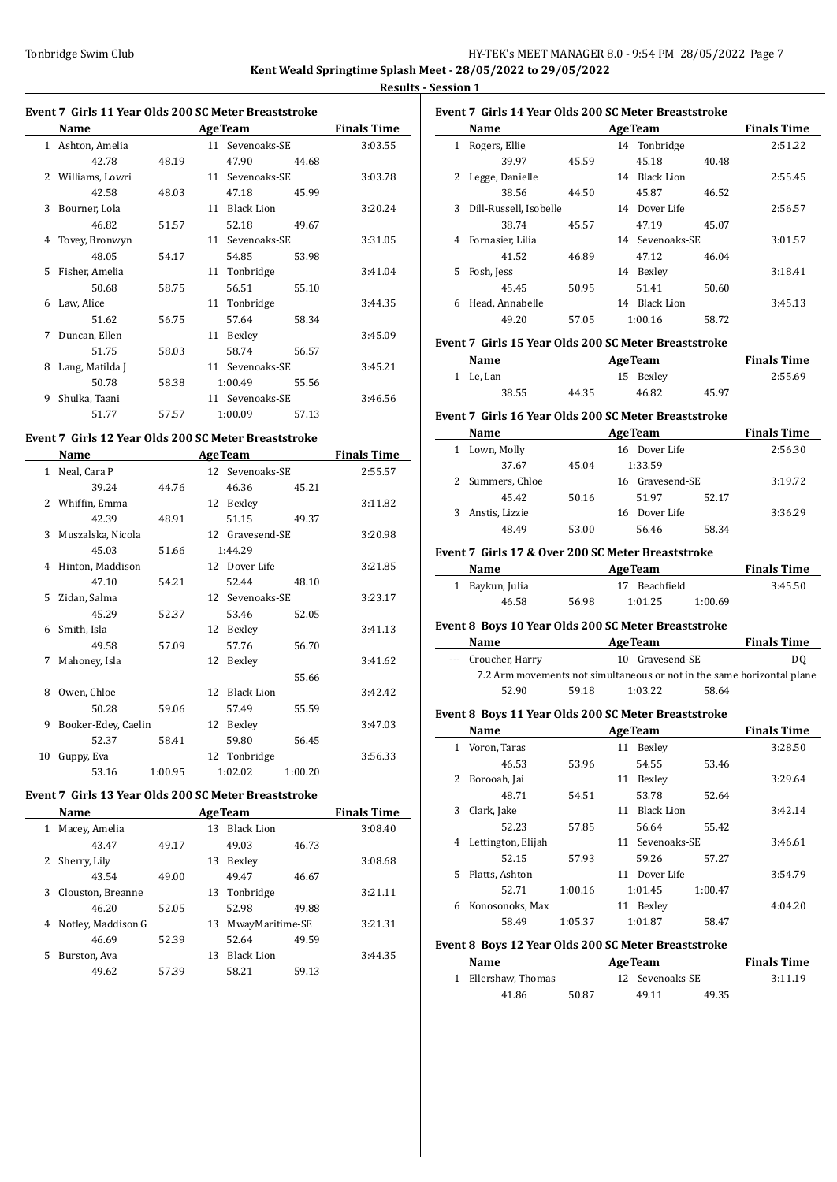# Tonbridge Swim Club HY-TEK's MEET MANAGER 8.0 - 9:54 PM 28/05/2022 Page 7 **Kent Weald Springtime Splash Meet - 28/05/2022 to 29/05/2022**

**Results - Session 1**

 $\overline{a}$ 

#### **Event 7 Girls 11 Year Olds 200 SC Meter Breaststroke**

|               | Name            |       |    | <b>AgeTeam</b>    |       | <b>Finals Time</b> |
|---------------|-----------------|-------|----|-------------------|-------|--------------------|
| $\mathbf{1}$  | Ashton, Amelia  |       |    | 11 Sevenoaks-SE   |       | 3:03.55            |
|               | 42.78           | 48.19 |    | 47.90             | 44.68 |                    |
| $\mathcal{L}$ | Williams, Lowri |       | 11 | Sevenoaks-SE      |       | 3:03.78            |
|               | 42.58           | 48.03 |    | 47.18             | 45.99 |                    |
| 3             | Bourner, Lola   |       | 11 | <b>Black Lion</b> |       | 3:20.24            |
|               | 46.82           | 51.57 |    | 52.18             | 49.67 |                    |
| 4             | Tovey, Bronwyn  |       | 11 | Sevenoaks-SE      |       | 3:31.05            |
|               | 48.05           | 54.17 |    | 54.85             | 53.98 |                    |
| 5             | Fisher, Amelia  |       | 11 | Tonbridge         |       | 3:41.04            |
|               | 50.68           | 58.75 |    | 56.51             | 55.10 |                    |
| 6             | Law, Alice      |       | 11 | Tonbridge         |       | 3:44.35            |
|               | 51.62           | 56.75 |    | 57.64             | 58.34 |                    |
| 7             | Duncan, Ellen   |       | 11 | Bexley            |       | 3:45.09            |
|               | 51.75           | 58.03 |    | 58.74             | 56.57 |                    |
| 8             | Lang, Matilda J |       | 11 | Sevenoaks-SE      |       | 3:45.21            |
|               | 50.78           | 58.38 |    | 1:00.49           | 55.56 |                    |
| 9             | Shulka, Taani   |       |    | 11 Sevenoaks-SE   |       | 3:46.56            |
|               | 51.77           | 57.57 |    | 1:00.09           | 57.13 |                    |

### **Event 7 Girls 12 Year Olds 200 SC Meter Breaststroke**

|              | Name                | <b>AgeTeam</b> |                 |                 | <b>Finals Time</b> |         |
|--------------|---------------------|----------------|-----------------|-----------------|--------------------|---------|
| $\mathbf{1}$ | Neal, Cara P        |                | 12 <sub>1</sub> | Sevenoaks-SE    |                    | 2:55.57 |
|              | 39.24               | 44.76          |                 | 46.36           | 45.21              |         |
| 2            | Whiffin, Emma       |                | 12              | Bexley          |                    | 3:11.82 |
|              | 42.39               | 48.91          |                 | 51.15           | 49.37              |         |
| 3            | Muszalska, Nicola   |                |                 | 12 Gravesend-SE |                    | 3:20.98 |
|              | 45.03               | 51.66          |                 | 1:44.29         |                    |         |
| 4            | Hinton, Maddison    |                | 12              | Dover Life      |                    | 3:21.85 |
|              | 47.10               | 54.21          |                 | 52.44           | 48.10              |         |
| 5.           | Zidan, Salma        |                |                 | 12 Sevenoaks-SE |                    | 3:23.17 |
|              | 45.29               | 52.37          |                 | 53.46           | 52.05              |         |
| 6            | Smith, Isla         |                | 12              | Bexley          |                    | 3:41.13 |
|              | 49.58               | 57.09          |                 | 57.76           | 56.70              |         |
| 7            | Mahoney, Isla       |                | 12              | Bexley          |                    | 3:41.62 |
|              |                     |                |                 |                 | 55.66              |         |
| 8            | Owen, Chloe         |                | 12              | Black Lion      |                    | 3:42.42 |
|              | 50.28               | 59.06          |                 | 57.49           | 55.59              |         |
| 9            | Booker-Edey, Caelin |                | 12              | Bexley          |                    | 3:47.03 |
|              | 52.37               | 58.41          |                 | 59.80           | 56.45              |         |
| 10           | Guppy, Eva          |                |                 | 12 Tonbridge    |                    | 3:56.33 |
|              | 53.16               | 1:00.95        |                 | 1:02.02         | 1:00.20            |         |

### **Event 7 Girls 13 Year Olds 200 SC Meter Breaststroke**

|   | Name               |       |    | <b>AgeTeam</b>    |       | <b>Finals Time</b> |
|---|--------------------|-------|----|-------------------|-------|--------------------|
| 1 | Macey, Amelia      |       | 13 | <b>Black Lion</b> |       | 3:08.40            |
|   | 43.47              | 49.17 |    | 49.03             | 46.73 |                    |
|   | 2 Sherry, Lily     |       | 13 | Bexley            |       | 3:08.68            |
|   | 43.54              | 49.00 |    | 49.47             | 46.67 |                    |
| 3 | Clouston, Breanne  |       | 13 | Tonbridge         |       | 3:21.11            |
|   | 46.20              | 52.05 |    | 52.98             | 49.88 |                    |
| 4 | Notley, Maddison G |       | 13 | MwayMaritime-SE   |       | 3:21.31            |
|   | 46.69              | 52.39 |    | 52.64             | 49.59 |                    |
| 5 | Burston, Ava       |       | 13 | <b>Black Lion</b> |       | 3:44.35            |
|   | 49.62              | 57.39 |    | 58.21             | 59.13 |                    |
|   |                    |       |    |                   |       |                    |

## **Event 7 Girls 14 Year Olds 200 SC Meter Breaststroke**

| Name                        |       | <b>AgeTeam</b> |                   |       | <b>Finals Time</b> |
|-----------------------------|-------|----------------|-------------------|-------|--------------------|
| Rogers, Ellie<br>1          |       |                | 14 Tonbridge      |       | 2:51.22            |
| 39.97                       | 45.59 |                | 45.18             | 40.48 |                    |
| Legge, Danielle<br>2        |       | 14             | <b>Black Lion</b> |       | 2:55.45            |
| 38.56                       | 44.50 |                | 45.87             | 46.52 |                    |
| Dill-Russell, Isobelle<br>3 |       | 14             | Dover Life        |       | 2:56.57            |
| 38.74                       | 45.57 |                | 47.19             | 45.07 |                    |
| Fornasier, Lilia<br>4       |       |                | 14 Sevenoaks-SE   |       | 3:01.57            |
| 41.52                       | 46.89 |                | 47.12             | 46.04 |                    |
| Fosh, Jess<br>5.            |       | 14             | Bexley            |       | 3:18.41            |
| 45.45                       | 50.95 |                | 51.41             | 50.60 |                    |
| Head, Annabelle<br>6        |       | 14             | <b>Black Lion</b> |       | 3:45.13            |
| 49.20                       | 57.05 |                | 1:00.16           | 58.72 |                    |

#### **Event 7 Girls 15 Year Olds 200 SC Meter Breaststroke**

| Name      |       |       | <b>AgeTeam</b> |       | <b>Finals Time</b> |
|-----------|-------|-------|----------------|-------|--------------------|
| 1 Le. Lan |       |       | 15 Bexley      |       | 2:55.69            |
|           | 38.55 | 44.35 | 46.82          | 45.97 |                    |

#### **Event 7 Girls 16 Year Olds 200 SC Meter Breaststroke**

|   | Name             |       | <b>AgeTeam</b>    | <b>Finals Time</b> |
|---|------------------|-------|-------------------|--------------------|
| 1 | Lown, Molly      |       | 16 Dover Life     | 2:56.30            |
|   | 37.67            | 45.04 | 1:33.59           |                    |
|   | 2 Summers, Chloe |       | 16 Gravesend-SE   | 3:19.72            |
|   | 45.42            | 50.16 | 52.17<br>51.97    |                    |
|   | Anstis, Lizzie   |       | Dover Life<br>16. | 3:36.29            |
|   | 48.49            | 53.00 | 58.34<br>56.46    |                    |

#### **Event 7 Girls 17 & Over 200 SC Meter Breaststroke**

| Name            |       | <b>AgeTeam</b> |         | <b>Finals Time</b> |
|-----------------|-------|----------------|---------|--------------------|
| 1 Baykun, Julia |       | 17 Beachfield  |         | 3:45.50            |
| 46.58           | 56.98 | 1:01.25        | 1:00.69 |                    |

#### **Event 8 Boys 10 Year Olds 200 SC Meter Breaststroke**

| Name                                                                   |       | <b>AgeTeam</b>  |       | <b>Finals Time</b> |
|------------------------------------------------------------------------|-------|-----------------|-------|--------------------|
| --- Croucher, Harry                                                    |       | 10 Gravesend-SE |       | DO.                |
| 7.2 Arm movements not simultaneous or not in the same horizontal plane |       |                 |       |                    |
| 52.90                                                                  | 59.18 | 1:03.22         | 58.64 |                    |

#### **Event 8 Boys 11 Year Olds 200 SC Meter Breaststroke**

|    | Name               |         | <b>AgeTeam</b>          |         | <b>Finals Time</b> |
|----|--------------------|---------|-------------------------|---------|--------------------|
| 1  | Voron, Taras       |         | Bexley<br>11            |         | 3:28.50            |
|    | 46.53              | 53.96   | 54.55                   | 53.46   |                    |
| 2  | Borooah, Jai       |         | Bexley<br>11            |         | 3:29.64            |
|    | 48.71              | 54.51   | 53.78                   | 52.64   |                    |
| 3  | Clark, Jake        |         | <b>Black Lion</b><br>11 |         | 3:42.14            |
|    | 52.23              | 57.85   | 56.64                   | 55.42   |                    |
| 4  | Lettington, Elijah |         | 11 Sevenoaks-SE         |         | 3:46.61            |
|    | 52.15              | 57.93   | 59.26                   | 57.27   |                    |
| 5. | Platts, Ashton     |         | Dover Life<br>11        |         | 3:54.79            |
|    | 52.71              | 1:00.16 | 1:01.45                 | 1:00.47 |                    |
| 6  | Konosonoks, Max    |         | Bexley<br>11            |         | 4:04.20            |
|    | 58.49              | 1:05.37 | 1:01.87                 | 58.47   |                    |

#### **Event 8 Boys 12 Year Olds 200 SC Meter Breaststroke**

| Name                |       | <b>AgeTeam</b>  |       | <b>Finals Time</b> |
|---------------------|-------|-----------------|-------|--------------------|
| 1 Ellershaw. Thomas |       | 12 Sevenoaks-SE |       | 3:11.19            |
| 41.86               | 50.87 | 49.11           | 49.35 |                    |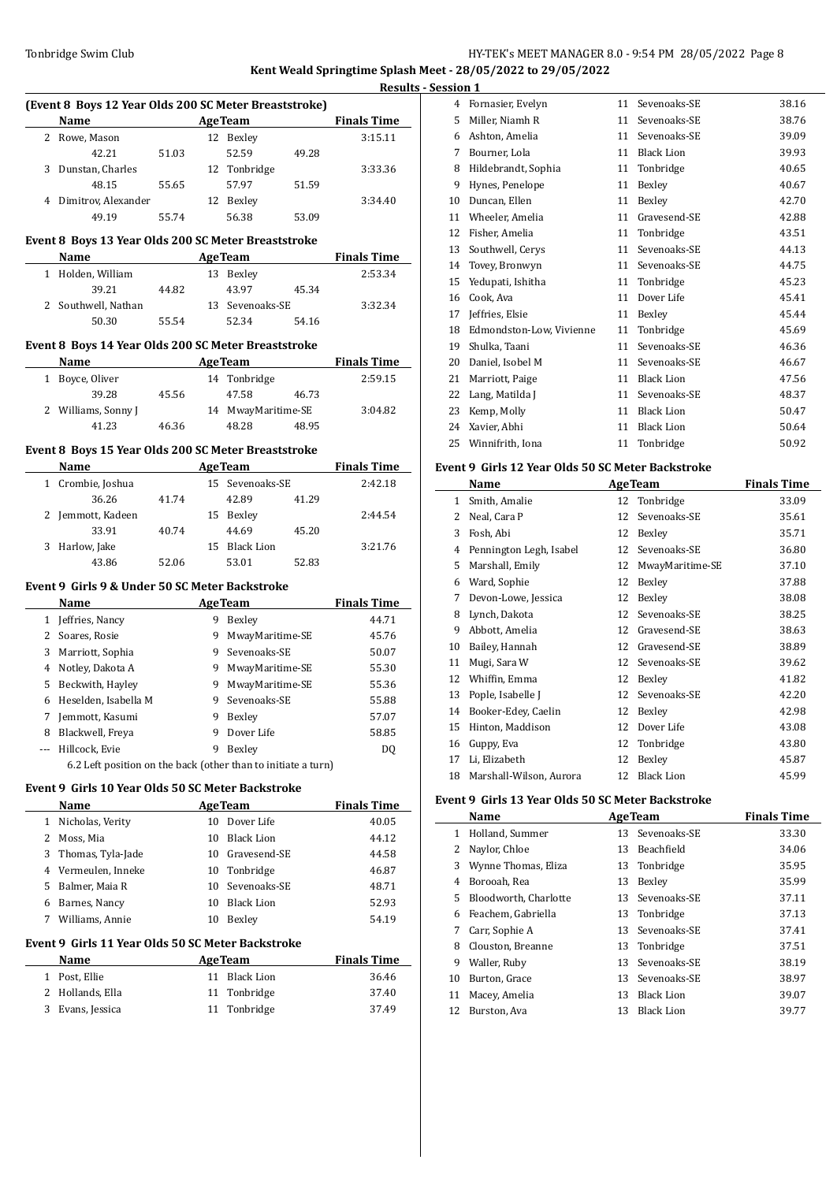## Tonbridge Swim Club **HY-TEK's MEET MANAGER 8.0 - 9:54 PM 28/05/2022** Page 8 **Kent Weald Springtime Splash Meet - 28/05/2022 to 29/05/2022**

|              |                                                               |       |    |                    |                              | <b>Results - Ses</b> |
|--------------|---------------------------------------------------------------|-------|----|--------------------|------------------------------|----------------------|
|              | (Event 8 Boys 12 Year Olds 200 SC Meter Breaststroke)         |       |    |                    |                              |                      |
|              | Name AgeTeam                                                  |       |    |                    |                              | <b>Finals Time</b>   |
|              | 2 Rowe, Mason                                                 |       |    | 12 Bexley          |                              | 3:15.11              |
|              | 42.21                                                         | 51.03 |    | 52.59              | 49.28                        |                      |
|              | 3 Dunstan, Charles                                            |       |    | 12 Tonbridge       |                              | 3:33.36              |
|              | 48.15                                                         | 55.65 |    | 57.97              | 51.59                        |                      |
|              | 4 Dimitrov, Alexander                                         |       |    | 12 Bexley          |                              | 3:34.40              |
|              | 49.19                                                         | 55.74 |    | 56.38              | 53.09                        |                      |
|              | Event 8 Boys 13 Year Olds 200 SC Meter Breaststroke           |       |    |                    |                              |                      |
|              | Name AgeTeam                                                  |       |    |                    |                              | <b>Finals Time</b>   |
|              | 1 Holden, William                                             |       |    | 13 Bexley          |                              | 2:53.34              |
|              | 39.21                                                         | 44.82 |    | 43.97              | 45.34                        |                      |
|              | 2 Southwell, Nathan                                           |       |    | 13 Sevenoaks-SE    |                              | 3:32.34              |
|              | 50.30                                                         | 55.54 |    | 52.34              | 54.16                        |                      |
|              | Event 8 Boys 14 Year Olds 200 SC Meter Breaststroke           |       |    |                    |                              |                      |
|              | Name AgeTeam Finals Time                                      |       |    |                    |                              |                      |
|              | 1 Boyce, Oliver                                               |       |    | 14 Tonbridge       |                              | 2:59.15              |
|              | 39.28                                                         | 45.56 |    | 47.58              | 46.73                        |                      |
|              | 2 Williams, Sonny J                                           |       |    | 14 MwayMaritime-SE |                              | 3:04.82              |
|              | 41.23                                                         | 46.36 |    | 48.28              | 48.95                        |                      |
|              |                                                               |       |    |                    |                              |                      |
|              | Event 8 Boys 15 Year Olds 200 SC Meter Breaststroke           |       |    |                    |                              |                      |
|              | Name                                                          |       |    |                    | <b>Example 2018 Age Team</b> | <b>Finals Time</b>   |
|              | 1 Crombie, Joshua                                             |       |    | 15 Sevenoaks-SE    |                              | 2:42.18              |
|              | 36.26                                                         | 41.74 |    | 42.89              | 41.29                        |                      |
|              | 2 Jemmott, Kadeen                                             |       |    | 15 Bexley          |                              | 2:44.54              |
|              | 33.91                                                         | 40.74 |    | 44.69              | 45.20                        |                      |
|              | 3 Harlow, Jake                                                |       |    | 15 Black Lion      |                              | 3:21.76              |
|              | 43.86                                                         | 52.06 |    | 53.01              | 52.83                        |                      |
|              | Event 9 Girls 9 & Under 50 SC Meter Backstroke                |       |    |                    |                              |                      |
|              | Name                                                          |       |    |                    | <b>AgeTeam</b>               | <b>Finals Time</b>   |
|              | 1 Jeffries, Nancy                                             |       |    | 9 Bexley           |                              | 44.71                |
|              | 2 Soares, Rosie                                               |       |    | 9 MwayMaritime-SE  |                              | 45.76                |
|              | 3 Marriott, Sophia                                            |       |    | 9 Sevenoaks-SE     |                              | 50.07                |
|              | 4 Notley, Dakota A                                            |       |    | 9 MwayMaritime-SE  |                              | 55.30                |
|              | 5 Beckwith, Hayley                                            |       |    | 9 MwayMaritime-SE  |                              | 55.36                |
|              | 6 Heselden, Isabella M                                        |       |    | 9 Sevenoaks-SE     |                              | 55.88                |
| 7.           | Jemmott, Kasumi                                               |       |    | 9 Bexley           |                              | 57.07                |
|              | 8 Blackwell, Freya                                            |       | 9  | Dover Life         |                              | 58.85                |
| ---          | Hillcock, Evie                                                |       | 9  | Bexley             |                              | DQ                   |
|              | 6.2 Left position on the back (other than to initiate a turn) |       |    |                    |                              |                      |
|              |                                                               |       |    |                    |                              |                      |
|              | Event 9  Girls 10 Year Olds 50 SC Meter Backstroke            |       |    |                    |                              |                      |
|              | Name                                                          |       |    | <b>AgeTeam</b>     |                              | <b>Finals Time</b>   |
| $\mathbf{1}$ | Nicholas, Verity                                              |       |    | 10 Dover Life      |                              | 40.05                |
| $\mathbf{2}$ | Moss, Mia                                                     |       |    | 10 Black Lion      |                              | 44.12                |
|              | 3 Thomas, Tyla-Jade                                           |       |    | 10 Gravesend-SE    |                              | 44.58                |
|              | 4 Vermeulen, Inneke                                           |       |    | 10 Tonbridge       |                              | 46.87                |
|              | 5 Balmer, Maia R                                              |       |    | 10 Sevenoaks-SE    |                              | 48.71                |
|              | 6 Barnes, Nancy                                               |       | 10 | <b>Black Lion</b>  |                              | 52.93                |
|              | 7 Williams, Annie                                             |       |    | 10 Bexley          |                              | 54.19                |
|              | Event 9 Girls 11 Year Olds 50 SC Meter Backstroke             |       |    |                    |                              |                      |
|              | Name                                                          |       |    | <b>AgeTeam</b>     |                              | <b>Finals Time</b>   |
| $\mathbf{1}$ | Post, Ellie                                                   |       |    | 11 Black Lion      |                              | 36.46                |
| 2            |                                                               |       | 11 | Tonbridge          |                              | 37.40                |
|              | Hollands, Ella<br>3 Evans, Jessica                            |       |    |                    |                              |                      |
|              |                                                               |       |    | 11 Tonbridge       |                              | 37.49                |

| sion 1: |                          |    |                   |       |
|---------|--------------------------|----|-------------------|-------|
| 4       | Fornasier, Evelyn        | 11 | Sevenoaks-SE      | 38.16 |
| 5       | Miller, Niamh R          | 11 | Sevenoaks-SE      | 38.76 |
| 6       | Ashton, Amelia           | 11 | Sevenoaks-SE      | 39.09 |
| 7       | Bourner, Lola            | 11 | <b>Black Lion</b> | 39.93 |
| 8       | Hildebrandt, Sophia      | 11 | Tonbridge         | 40.65 |
| 9       | Hynes, Penelope          | 11 | Bexley            | 40.67 |
| 10      | Duncan, Ellen            | 11 | Bexley            | 42.70 |
| 11      | Wheeler, Amelia          | 11 | Gravesend-SE      | 42.88 |
| 12      | Fisher, Amelia           | 11 | Tonbridge         | 43.51 |
| 13      | Southwell, Cerys         | 11 | Sevenoaks-SE      | 44.13 |
| 14      | Tovey, Bronwyn           | 11 | Sevenoaks-SE      | 44.75 |
| 15      | Yedupati, Ishitha        | 11 | Tonbridge         | 45.23 |
| 16      | Cook, Ava                | 11 | Dover Life        | 45.41 |
| 17      | Jeffries, Elsie          | 11 | Bexley            | 45.44 |
| 18      | Edmondston-Low, Vivienne | 11 | Tonbridge         | 45.69 |
| 19      | Shulka, Taani            | 11 | Sevenoaks-SE      | 46.36 |
| 20      | Daniel, Isobel M         | 11 | Sevenoaks-SE      | 46.67 |
| 21      | Marriott, Paige          | 11 | <b>Black Lion</b> | 47.56 |
| 22      | Lang, Matilda J          | 11 | Sevenoaks-SE      | 48.37 |
| 23      | Kemp, Molly              | 11 | <b>Black Lion</b> | 50.47 |
| 24      | Xavier, Abhi             | 11 | <b>Black Lion</b> | 50.64 |
| 25      | Winnifrith, Iona         | 11 | Tonbridge         | 50.92 |

## **Event 9 Girls 12 Year Olds 50 SC Meter Backstroke**

|    | Name                    |    | <b>AgeTeam</b>    | <b>Finals Time</b> |
|----|-------------------------|----|-------------------|--------------------|
| 1  | Smith, Amalie           | 12 | Tonbridge         | 33.09              |
| 2  | Neal, Cara P            | 12 | Sevenoaks-SE      | 35.61              |
| 3  | Fosh, Abi               | 12 | Bexley            | 35.71              |
| 4  | Pennington Legh, Isabel | 12 | Sevenoaks-SE      | 36.80              |
| 5  | Marshall, Emily         | 12 | MwayMaritime-SE   | 37.10              |
| 6  | Ward, Sophie            | 12 | Bexley            | 37.88              |
| 7  | Devon-Lowe, Jessica     | 12 | Bexley            | 38.08              |
| 8  | Lynch, Dakota           | 12 | Sevenoaks-SE      | 38.25              |
| 9  | Abbott, Amelia          | 12 | Gravesend-SE      | 38.63              |
| 10 | Bailey, Hannah          | 12 | Gravesend-SE      | 38.89              |
| 11 | Mugi, Sara W            | 12 | Sevenoaks-SE      | 39.62              |
| 12 | Whiffin, Emma           | 12 | Bexley            | 41.82              |
| 13 | Pople, Isabelle J       | 12 | Sevenoaks-SE      | 42.20              |
| 14 | Booker-Edey, Caelin     | 12 | Bexley            | 42.98              |
| 15 | Hinton, Maddison        | 12 | Dover Life        | 43.08              |
| 16 | Guppy, Eva              | 12 | Tonbridge         | 43.80              |
| 17 | Li, Elizabeth           | 12 | Bexley            | 45.87              |
| 18 | Marshall-Wilson, Aurora | 12 | <b>Black Lion</b> | 45.99              |

#### **Event 9 Girls 13 Year Olds 50 SC Meter Backstroke**

|    | Name                  |    | <b>AgeTeam</b>    | <b>Finals Time</b> |
|----|-----------------------|----|-------------------|--------------------|
| 1  | Holland, Summer       |    | 13 Sevenoaks-SE   | 33.30              |
| 2  | Naylor, Chloe         |    | 13 Beachfield     | 34.06              |
| 3  | Wynne Thomas, Eliza   |    | 13 Tonbridge      | 35.95              |
| 4  | Borooah, Rea          | 13 | Bexley            | 35.99              |
| 5  | Bloodworth, Charlotte |    | 13 Sevenoaks-SE   | 37.11              |
| 6  | Feachem, Gabriella    |    | 13 Tonbridge      | 37.13              |
| 7  | Carr, Sophie A        |    | 13 Sevenoaks-SE   | 37.41              |
| 8  | Clouston, Breanne     |    | 13 Tonbridge      | 37.51              |
| 9  | Waller, Ruby          |    | 13 Sevenoaks-SE   | 38.19              |
| 10 | Burton, Grace         |    | 13 Sevenoaks-SE   | 38.97              |
| 11 | Macey, Amelia         | 13 | Black Lion        | 39.07              |
| 12 | Burston, Ava          | 13 | <b>Black Lion</b> | 39.77              |